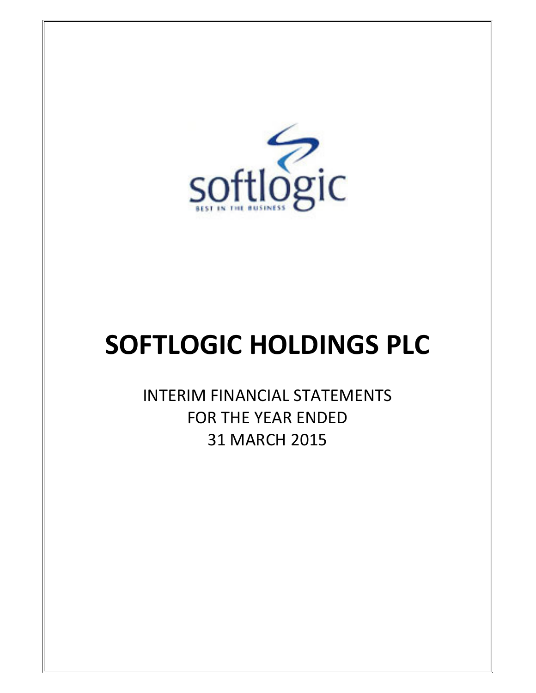

# SOFTLOGIC HOLDINGS PLC

INTERIM FINANCIAL STATEMENTS FOR THE YEAR ENDED 31 MARCH 2015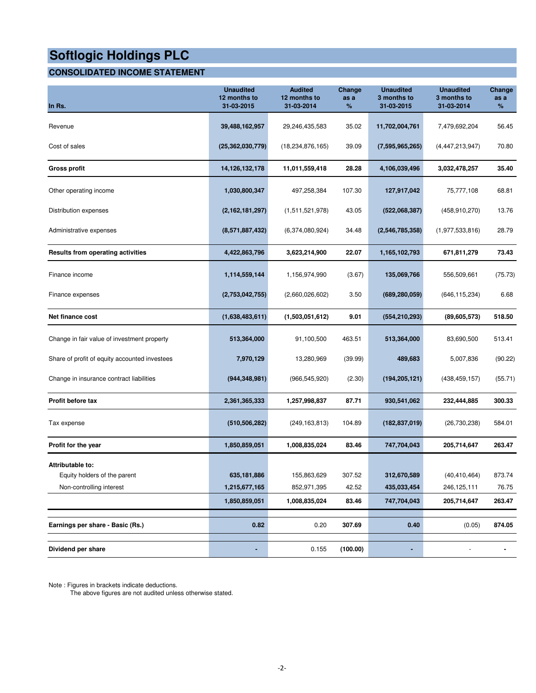### **CONSOLIDATED INCOME STATEMENT**

| In Rs.                                                                       | <b>Unaudited</b><br>12 months to<br>31-03-2015 | <b>Audited</b><br>12 months to<br>31-03-2014 | Change<br>as a<br>%      | <b>Unaudited</b><br>3 months to<br>31-03-2015 | <b>Unaudited</b><br>3 months to<br>31-03-2014 | Change<br>as a<br>%       |
|------------------------------------------------------------------------------|------------------------------------------------|----------------------------------------------|--------------------------|-----------------------------------------------|-----------------------------------------------|---------------------------|
| Revenue                                                                      | 39,488,162,957                                 | 29,246,435,583                               | 35.02                    | 11,702,004,761                                | 7,479,692,204                                 | 56.45                     |
| Cost of sales                                                                | (25, 362, 030, 779)                            | (18, 234, 876, 165)                          | 39.09                    | (7,595,965,265)                               | (4, 447, 213, 947)                            | 70.80                     |
| Gross profit                                                                 | 14,126,132,178                                 | 11,011,559,418                               | 28.28                    | 4,106,039,496                                 | 3,032,478,257                                 | 35.40                     |
| Other operating income                                                       | 1,030,800,347                                  | 497,258,384                                  | 107.30                   | 127,917,042                                   | 75,777,108                                    | 68.81                     |
| Distribution expenses                                                        | (2, 162, 181, 297)                             | (1,511,521,978)                              | 43.05                    | (522,068,387)                                 | (458, 910, 270)                               | 13.76                     |
| Administrative expenses                                                      | (8,571,887,432)                                | (6,374,080,924)                              | 34.48                    | (2,546,785,358)                               | (1,977,533,816)                               | 28.79                     |
| <b>Results from operating activities</b>                                     | 4,422,863,796                                  | 3,623,214,900                                | 22.07                    | 1,165,102,793                                 | 671,811,279                                   | 73.43                     |
| Finance income                                                               | 1,114,559,144                                  | 1,156,974,990                                | (3.67)                   | 135,069,766                                   | 556,509,661                                   | (75.73)                   |
| Finance expenses                                                             | (2,753,042,755)                                | (2,660,026,602)                              | 3.50                     | (689, 280, 059)                               | (646, 115, 234)                               | 6.68                      |
| Net finance cost                                                             | (1,638,483,611)                                | (1,503,051,612)                              | 9.01                     | (554, 210, 293)                               | (89,605,573)                                  | 518.50                    |
| Change in fair value of investment property                                  | 513,364,000                                    | 91,100,500                                   | 463.51                   | 513,364,000                                   | 83,690,500                                    | 513.41                    |
| Share of profit of equity accounted investees                                | 7,970,129                                      | 13,280,969                                   | (39.99)                  | 489,683                                       | 5,007,836                                     | (90.22)                   |
| Change in insurance contract liabilities                                     | (944, 348, 981)                                | (966, 545, 920)                              | (2.30)                   | (194, 205, 121)                               | (438, 459, 157)                               | (55.71)                   |
| Profit before tax                                                            | 2,361,365,333                                  | 1,257,998,837                                | 87.71                    | 930,541,062                                   | 232,444,885                                   | 300.33                    |
| Tax expense                                                                  | (510, 506, 282)                                | (249,163,813)                                | 104.89                   | (182, 837, 019)                               | (26,730,238)                                  | 584.01                    |
| Profit for the year                                                          | 1,850,859,051                                  | 1,008,835,024                                | 83.46                    | 747,704,043                                   | 205,714,647                                   | 263.47                    |
| Attributable to:<br>Equity holders of the parent<br>Non-controlling interest | 635,181,886<br>1,215,677,165<br>1,850,859,051  | 155,863,629<br>852,971,395<br>1,008,835,024  | 307.52<br>42.52<br>83.46 | 312,670,589<br>435,033,454<br>747,704,043     | (40, 410, 464)<br>246,125,111<br>205,714,647  | 873.74<br>76.75<br>263.47 |
| Earnings per share - Basic (Rs.)                                             | 0.82                                           | 0.20                                         | 307.69                   | 0.40                                          | (0.05)                                        | 874.05                    |
|                                                                              |                                                |                                              |                          |                                               |                                               |                           |
| Dividend per share                                                           |                                                | 0.155                                        | (100.00)                 |                                               |                                               |                           |

Note : Figures in brackets indicate deductions.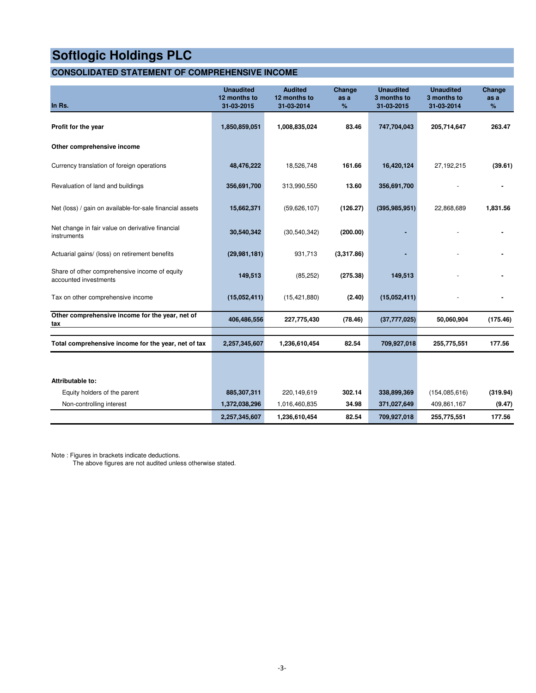### **CONSOLIDATED STATEMENT OF COMPREHENSIVE INCOME**

| In Rs.                                                                 | <b>Unaudited</b><br>12 months to<br>31-03-2015 | <b>Audited</b><br>12 months to<br>31-03-2014 | Change<br>as a<br>$\%$ | <b>Unaudited</b><br>3 months to<br>31-03-2015 | <b>Unaudited</b><br>3 months to<br>31-03-2014 | Change<br>as a<br>% |
|------------------------------------------------------------------------|------------------------------------------------|----------------------------------------------|------------------------|-----------------------------------------------|-----------------------------------------------|---------------------|
| Profit for the year                                                    | 1,850,859,051                                  | 1,008,835,024                                | 83.46                  | 747,704,043                                   | 205,714,647                                   | 263.47              |
| Other comprehensive income                                             |                                                |                                              |                        |                                               |                                               |                     |
| Currency translation of foreign operations                             | 48,476,222                                     | 18,526,748                                   | 161.66                 | 16,420,124                                    | 27, 192, 215                                  | (39.61)             |
| Revaluation of land and buildings                                      | 356,691,700                                    | 313,990,550                                  | 13.60                  | 356,691,700                                   |                                               |                     |
| Net (loss) / gain on available-for-sale financial assets               | 15,662,371                                     | (59,626,107)                                 | (126.27)               | (395, 985, 951)                               | 22,868,689                                    | 1,831.56            |
| Net change in fair value on derivative financial<br>instruments        | 30,540,342                                     | (30, 540, 342)                               | (200.00)               |                                               |                                               |                     |
| Actuarial gains/ (loss) on retirement benefits                         | (29, 981, 181)                                 | 931,713                                      | (3,317.86)             |                                               |                                               |                     |
| Share of other comprehensive income of equity<br>accounted investments | 149,513                                        | (85, 252)                                    | (275.38)               | 149,513                                       |                                               |                     |
| Tax on other comprehensive income                                      | (15,052,411)                                   | (15, 421, 880)                               | (2.40)                 | (15,052,411)                                  |                                               |                     |
| Other comprehensive income for the year, net of<br>tax                 | 406,486,556                                    | 227,775,430                                  | (78.46)                | (37, 777, 025)                                | 50,060,904                                    | (175.46)            |
| Total comprehensive income for the year, net of tax                    | 2,257,345,607                                  | 1,236,610,454                                | 82.54                  | 709,927,018                                   | 255,775,551                                   | 177.56              |
|                                                                        |                                                |                                              |                        |                                               |                                               |                     |
| Attributable to:                                                       |                                                |                                              |                        |                                               |                                               |                     |
| Equity holders of the parent                                           | 885,307,311                                    | 220,149,619                                  | 302.14                 | 338,899,369                                   | (154, 085, 616)                               | (319.94)            |
| Non-controlling interest                                               | 1,372,038,296                                  | 1,016,460,835                                | 34.98                  | 371,027,649                                   | 409,861,167                                   | (9.47)              |
|                                                                        | 2,257,345,607                                  | 1,236,610,454                                | 82.54                  | 709,927,018                                   | 255,775,551                                   | 177.56              |

Note : Figures in brackets indicate deductions.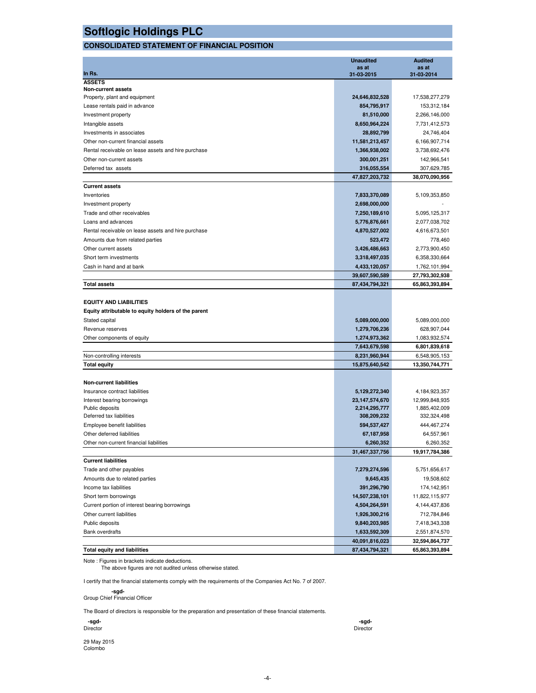### **CONSOLIDATED STATEMENT OF FINANCIAL POSITION**

|                                                     | <b>Unaudited</b>    | <b>Audited</b>      |
|-----------------------------------------------------|---------------------|---------------------|
| In Rs.                                              | as at<br>31-03-2015 | as at<br>31-03-2014 |
| <b>ASSETS</b>                                       |                     |                     |
| Non-current assets                                  |                     |                     |
| Property, plant and equipment                       | 24,646,832,528      | 17,538,277,279      |
| Lease rentals paid in advance                       | 854,795,917         | 153,312,184         |
| Investment property                                 | 81,510,000          | 2,266,146,000       |
| Intangible assets                                   | 8,650,964,224       | 7,731,412,573       |
| Investments in associates                           | 28,892,799          | 24,746,404          |
| Other non-current financial assets                  | 11,581,213,457      | 6,166,907,714       |
| Rental receivable on lease assets and hire purchase | 1,366,938,002       | 3,738,692,476       |
| Other non-current assets                            | 300,001,251         | 142,966,541         |
| Deferred tax assets                                 | 316,055,554         | 307,629,785         |
|                                                     | 47,827,203,732      | 38,070,090,956      |
| <b>Current assets</b>                               |                     |                     |
| Inventories                                         | 7,833,370,089       | 5,109,353,850       |
| Investment property                                 | 2,698,000,000       |                     |
| Trade and other receivables                         | 7,250,189,610       | 5,095,125,317       |
| Loans and advances                                  | 5,776,876,661       | 2,077,038,702       |
| Rental receivable on lease assets and hire purchase | 4,870,527,002       | 4,616,673,501       |
| Amounts due from related parties                    | 523,472             | 778,460             |
| Other current assets                                | 3,426,486,663       | 2,773,900,450       |
| Short term investments                              | 3,318,497,035       | 6,358,330,664       |
| Cash in hand and at bank                            | 4,433,120,057       | 1,762,101,994       |
|                                                     | 39,607,590,589      | 27,793,302,938      |
| <b>Total assets</b>                                 | 87,434,794,321      | 65,863,393,894      |
|                                                     |                     |                     |
| <b>EQUITY AND LIABILITIES</b>                       |                     |                     |
| Equity attributable to equity holders of the parent |                     |                     |
| Stated capital                                      | 5,089,000,000       | 5,089,000,000       |
| Revenue reserves                                    | 1,279,706,236       | 628,907,044         |
| Other components of equity                          | 1,274,973,362       | 1,083,932,574       |
|                                                     | 7,643,679,598       | 6,801,839,618       |
| Non-controlling interests                           | 8,231,960,944       | 6,548,905,153       |
| <b>Total equity</b>                                 | 15,875,640,542      | 13,350,744,771      |
|                                                     |                     |                     |
| <b>Non-current liabilities</b>                      |                     |                     |
| Insurance contract liabilities                      | 5,129,272,340       | 4,184,923,357       |
| Interest bearing borrowings                         | 23,147,574,670      | 12,999,848,935      |
| Public deposits                                     | 2,214,295,777       | 1,885,402,009       |
| Deferred tax liabilities                            | 308,209,232         | 332,324,498         |
| Employee benefit liabilities                        | 594,537,427         | 444, 467, 274       |
| Other deferred liabilities                          | 67,187,958          | 64,557,961          |
| Other non-current financial liabilities             | 6,260,352           | 6,260,352           |
|                                                     | 31,467,337,756      | 19,917,784,386      |
| <b>Current liabilities</b>                          |                     |                     |
| Trade and other payables                            | 7,279,274,596       | 5,751,656,617       |
| Amounts due to related parties                      | 9,645,435           | 19,508,602          |
| Income tax liabilities                              | 391,296,790         | 174,142,951         |
| Short term borrowings                               | 14,507,238,101      | 11,822,115,977      |
| Current portion of interest bearing borrowings      | 4,504,264,591       | 4,144,437,836       |
| Other current liabilities                           | 1,926,300,216       | 712,784,846         |
| Public deposits                                     | 9,840,203,985       | 7,418,343,338       |
| <b>Bank overdrafts</b>                              | 1,633,592,309       | 2,551,874,570       |
|                                                     | 40,091,816,023      | 32,594,864,737      |
| <b>Total equity and liabilities</b>                 | 87,434,794,321      | 65,863,393,894      |

Note : Figures in brackets indicate deductions.

The above figures are not audited unless otherwise stated.

I certify that the financial statements comply with the requirements of the Companies Act No. 7 of 2007.

 **-sgd-**Group Chief Financial Officer

The Board of directors is responsible for the preparation and presentation of these financial statements.

| -sgd-    | -sgd-    |
|----------|----------|
| Director | Director |
|          |          |

29 May 2015 Colombo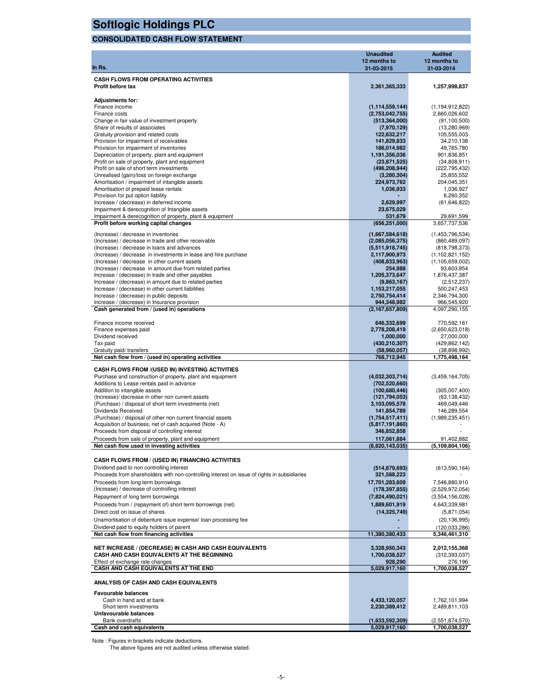| <b>Softlogic Holdings PLC</b>                                                                               |                                       |                                     |
|-------------------------------------------------------------------------------------------------------------|---------------------------------------|-------------------------------------|
| <b>CONSOLIDATED CASH FLOW STATEMENT</b>                                                                     |                                       |                                     |
|                                                                                                             | <b>Unaudited</b>                      | <b>Audited</b>                      |
| In Rs.                                                                                                      | 12 months to<br>31-03-2015            | 12 months to<br>31-03-2014          |
| <b>CASH FLOWS FROM OPERATING ACTIVITIES</b>                                                                 |                                       |                                     |
| <b>Profit before tax</b>                                                                                    | 2,361,365,333                         | 1,257,998,837                       |
| <b>Adjustments for:</b>                                                                                     |                                       |                                     |
| Finance income<br>Finance costs                                                                             | (1, 114, 559, 144)<br>(2,753,042,755) | (1, 194, 912, 822)<br>2,660,026,602 |
| Change in fair value of investment property                                                                 | (513, 364, 000)                       | (91, 100, 500)                      |
| Share of results of associates                                                                              | (7,970,129)                           | (13,280,969)                        |
| Gratuity provision and related costs                                                                        | 122,632,217                           | 105,555,003                         |
| Provision for impairment of receivables<br>Provision for impairment of inventories                          | 141,829,833<br>186,014,982            | 34,210,138                          |
| Depreciation of property, plant and equipment                                                               | 1,191,356,036                         | 49,765,780<br>901,836,851           |
| Profit on sale of property, plant and equipment                                                             | (23, 871, 525)                        | (34,808,911)                        |
| Profit on sale of short term investments                                                                    | (496, 208, 944)                       | (222, 795, 432)                     |
| Unrealised (gain)/loss on foreign exchange                                                                  | (3,280,304)<br>224,973,762            | 25,855,552                          |
| Amortisation / impairment of intangible assets<br>Amortisation of prepaid lease rentals                     | 1,036,933                             | 204,045,351<br>1,036,927            |
| Provision for put option liability                                                                          |                                       | 6,260,352                           |
| Increase / (decrease) in deferred income                                                                    | 2,629,997                             | (61, 646, 822)                      |
| Impairment & derecognition of Intangible assets                                                             | 23,675,029                            |                                     |
| Impairment & derecognition of property, plant & equipment<br>Profit before working capital changes          | 531.679<br>(656, 251, 000)            | 29,691,599<br>3,657,737,536         |
|                                                                                                             |                                       |                                     |
| (Increase) / decrease in inventories                                                                        | (1,667,584,618)                       | (1,453,796,534)                     |
| (Increase) / decrease in trade and other receivable<br>(Increase) / decrease in loans and advances          | (2,085,056,375)<br>(5,511,918,745)    | (860, 489, 097)<br>(818, 798, 373)  |
| (Increase) / decrease in investments in lease and hire purchase                                             | 2,117,900,973                         | (1, 102, 821, 152)                  |
| (Increase) / decrease in other current assets                                                               | (408, 833, 963)                       | (1, 105, 659, 002)                  |
| (Increase) / decrease in amount due from related parties                                                    | 254,988                               | 93,603,954                          |
| Increase / (decrease) in trade and other payables<br>Increase / (decrease) in amount due to related parties | 1,205,373,647<br>(9,863,167)          | 1,876,437,387<br>(2,512,237)        |
| Increase / (decrease) in other current liabilities                                                          | 1,153,217,055                         | 500,247,453                         |
| Increase / (decrease) in public deposits                                                                    | 2,750,754,414                         | 2,346,794,300                       |
| Increase / (decrease) in Insurance provision                                                                | 944,348,982                           | 966,545,920                         |
| Cash generated from / (used in) operations                                                                  | (2, 167, 657, 809)                    | 4,097,290,155                       |
| Finance income received                                                                                     | 646,332,699                           | 770,592,161                         |
| Finance expenses paid                                                                                       | 2,778,208,419                         | (2,650,623,018)                     |
| Dividend received                                                                                           | 1,000,000                             | 27,000,000                          |
| Tax paid                                                                                                    | (430, 210, 307)                       | (429, 862, 142)                     |
| Gratuity paid/ transfers<br>Net cash flow from / (used in) operating activities                             | (58,960,057)<br>768,712,945           | (38, 898, 992)<br>1,775,498,164     |
|                                                                                                             |                                       |                                     |
| CASH FLOWS FROM /(USED IN) INVESTING ACTIVITIES                                                             |                                       |                                     |
| Purchase and construction of property, plant and equipment<br>Additions to Lease rentals paid in advance    | (4,032,303,714)<br>(702, 520, 660)    | (3,459,164,705)                     |
| Addition to intangible assets                                                                               | (100, 680, 446)                       | (305,007,400)                       |
| (Increase)/ decrease in other non current assets                                                            | (121, 794, 053)                       | (63, 138, 432)                      |
| (Purchase) / disposal of short term investments (net)                                                       | 3,103,095,578                         | 469,049,446                         |
| Dividends Received<br>(Purchase) / disposal of other non current financial assets                           | 141,854,789<br>(1,754,517,411)        | 146,289,554<br>(1,989,235,451)      |
| Acquisition of business, net of cash acquired (Note - A)                                                    | (5,817,191,860)                       |                                     |
| Proceeds from disposal of controlling interest                                                              | 346,852,858                           |                                     |
| Proceeds from sale of property, plant and equipment                                                         | 117,061,884                           | 91,402,882                          |
| Net cash flow used in investing activities                                                                  | (8.820.143.035)                       | (5, 109, 804, 106)                  |
| CASH FLOWS FROM / (USED IN) FINANCING ACTIVITIES                                                            |                                       |                                     |
| Dividend paid to non controlling interest                                                                   | (514, 879, 693)                       | (613, 590, 164)                     |
| Proceeds from shareholders with non-controlling interest on issue of rights in subsidiaries                 | 321,588,223                           |                                     |
| Proceeds from long term borrowings                                                                          | 17,701,283,609                        | 7,546,880,910                       |
| (Increase) / decrease of controlling interest                                                               | (178, 397, 855)                       | (2,529,972,054)                     |
| Repayment of long term borrowings                                                                           | (7,824,490,021)                       | (3,554,156,028)                     |
| Proceeds from / (repayment of) short term borrowings (net)                                                  | 1,889,601,919                         | 4,643,339,981                       |
| Direct cost on issue of shares<br>Unamortisation of debenture issue expense/ loan processing fee            | (14, 325, 749)                        | (5,871,054)<br>(20, 136, 995)       |
| Dividend paid to equity holders of parent                                                                   |                                       | (120,033,286)                       |
| Net cash flow from financing activities                                                                     | 11,380,380,433                        | 5,346,461,310                       |
|                                                                                                             |                                       |                                     |
| <b>NET INCREASE / (DECREASE) IN CASH AND CASH EQUIVALENTS</b>                                               | 3,328,950,343                         | 2,012,155,368                       |
| CASH AND CASH EQUIVALENTS AT THE BEGINNING                                                                  | 1,700,038,527<br>928,290              | (312, 393, 037)                     |
| Effect of exchange rate changes<br>CASH AND CASH EQUIVALENTS AT THE END                                     | 5,029,917,160                         | 276,196<br>1,700,038,527            |
| ANALYSIS OF CASH AND CASH EQUIVALENTS                                                                       |                                       |                                     |
| <b>Favourable balances</b>                                                                                  |                                       |                                     |
| Cash in hand and at bank                                                                                    | 4,433,120,057                         | 1,762,101,994                       |
| Short term investments                                                                                      | 2,230,389,412                         | 2,489,811,103                       |
| Unfavourable balances<br><b>Bank overdrafts</b>                                                             |                                       |                                     |
| Cash and cash equivalents                                                                                   | (1,633,592,309)<br>5,029,917,160      | (2,551,874,570)<br>1,700,038,527    |

Note : Figures in brackets indicate deductions. The above figures are not audited unless otherwise stated.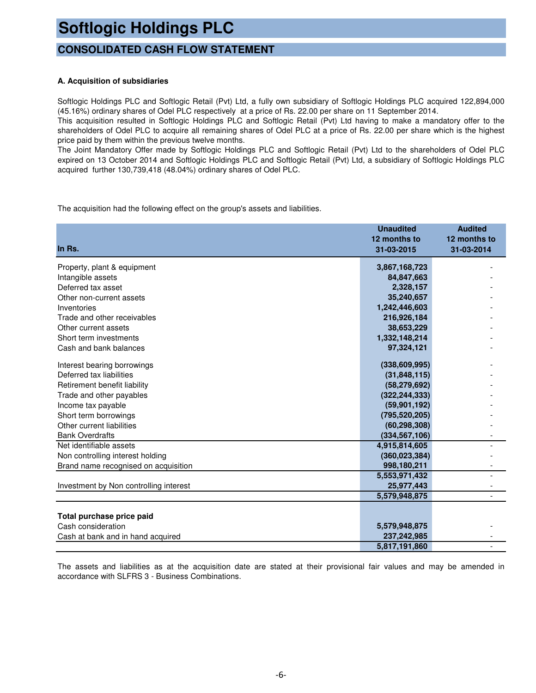### **CONSOLIDATED CASH FLOW STATEMENT**

### **A. Acquisition of subsidiaries**

Softlogic Holdings PLC and Softlogic Retail (Pvt) Ltd, a fully own subsidiary of Softlogic Holdings PLC acquired 122,894,000 (45.16%) ordinary shares of Odel PLC respectively at a price of Rs. 22.00 per share on 11 September 2014.

This acquisition resulted in Softlogic Holdings PLC and Softlogic Retail (Pvt) Ltd having to make a mandatory offer to the shareholders of Odel PLC to acquire all remaining shares of Odel PLC at a price of Rs. 22.00 per share which is the highest price paid by them within the previous twelve months.

The Joint Mandatory Offer made by Softlogic Holdings PLC and Softlogic Retail (Pvt) Ltd to the shareholders of Odel PLC expired on 13 October 2014 and Softlogic Holdings PLC and Softlogic Retail (Pvt) Ltd, a subsidiary of Softlogic Holdings PLC acquired further 130,739,418 (48.04%) ordinary shares of Odel PLC.

The acquisition had the following effect on the group's assets and liabilities.

|                                        | <b>Unaudited</b><br>12 months to | <b>Audited</b><br>12 months to |
|----------------------------------------|----------------------------------|--------------------------------|
| In Rs.                                 | 31-03-2015                       | 31-03-2014                     |
| Property, plant & equipment            | 3,867,168,723                    |                                |
| Intangible assets                      | 84,847,663                       |                                |
| Deferred tax asset                     | 2,328,157                        |                                |
| Other non-current assets               | 35,240,657                       |                                |
| Inventories                            | 1,242,446,603                    |                                |
| Trade and other receivables            | 216,926,184                      |                                |
| Other current assets                   | 38,653,229                       |                                |
| Short term investments                 | 1,332,148,214                    |                                |
| Cash and bank balances                 | 97,324,121                       |                                |
| Interest bearing borrowings            | (338, 609, 995)                  |                                |
| Deferred tax liabilities               | (31, 848, 115)                   |                                |
| Retirement benefit liability           | (58, 279, 692)                   |                                |
| Trade and other payables               | (322, 244, 333)                  |                                |
| Income tax payable                     | (59, 901, 192)                   |                                |
| Short term borrowings                  | (795, 520, 205)                  |                                |
| Other current liabilities              | (60, 298, 308)                   |                                |
| <b>Bank Overdrafts</b>                 | (334, 567, 106)                  |                                |
| Net identifiable assets                | 4,915,814,605                    |                                |
| Non controlling interest holding       | (360, 023, 384)                  |                                |
| Brand name recognised on acquisition   | 998,180,211                      |                                |
|                                        | 5,553,971,432                    |                                |
| Investment by Non controlling interest | 25,977,443                       |                                |
|                                        | 5,579,948,875                    |                                |
|                                        |                                  |                                |
| Total purchase price paid              |                                  |                                |
| Cash consideration                     | 5,579,948,875                    |                                |
| Cash at bank and in hand acquired      | 237,242,985                      |                                |
|                                        | 5,817,191,860                    |                                |

The assets and liabilities as at the acquisition date are stated at their provisional fair values and may be amended in accordance with SLFRS 3 - Business Combinations.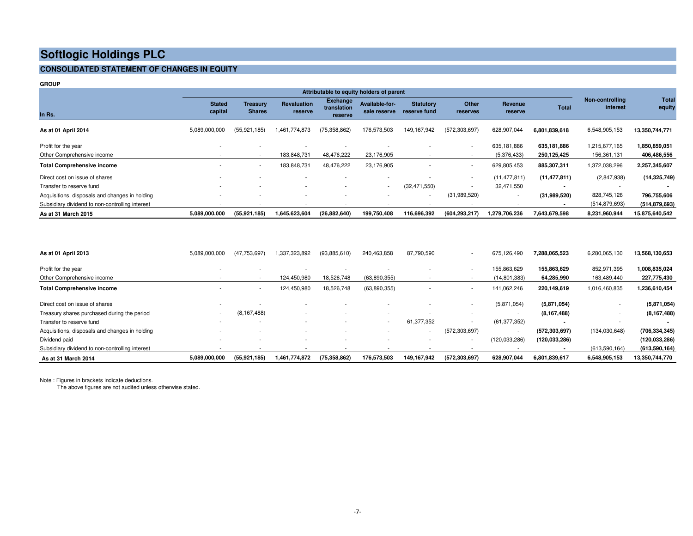#### **CONSOLIDATED STATEMENT OF CHANGES IN EQUITY**

| <b>GROUP</b>                                    |                          |                                  |                        |                                    |                                          |                                  |                          |                          |                          |                             |                 |
|-------------------------------------------------|--------------------------|----------------------------------|------------------------|------------------------------------|------------------------------------------|----------------------------------|--------------------------|--------------------------|--------------------------|-----------------------------|-----------------|
|                                                 |                          |                                  |                        |                                    | Attributable to equity holders of parent |                                  |                          |                          |                          |                             |                 |
| In Rs.                                          | <b>Stated</b><br>capital | <b>Treasury</b><br><b>Shares</b> | Revaluation<br>reserve | Exchange<br>translation<br>reserve | Available-for-<br>sale reserve           | <b>Statutory</b><br>reserve fund | Other<br>reserves        | Revenue<br>reserve       | <b>Total</b>             | Non-controlling<br>interest | Tota<br>equity  |
| As at 01 April 2014                             | 5,089,000,000            | (55, 921, 185)                   | 1,461,774,873          | (75, 358, 862)                     | 176,573,503                              | 149, 167, 942                    | (572, 303, 697)          | 628,907,044              | 6,801,839,618            | 6,548,905,153               | 13,350,744,771  |
| Profit for the year                             |                          |                                  |                        |                                    |                                          |                                  | $\overline{\phantom{a}}$ | 635,181,886              | 635,181,886              | 1,215,677,165               | 1,850,859,051   |
| Other Comprehensive income                      |                          | $\blacksquare$                   | 183,848,731            | 48,476,222                         | 23,176,905                               |                                  |                          | (5,376,433)              | 250,125,425              | 156,361,131                 | 406,486,556     |
| <b>Total Comprehensive income</b>               |                          | $\sim$                           | 183,848,731            | 48,476,222                         | 23,176,905                               |                                  | $\overline{\phantom{a}}$ | 629,805,453              | 885,307,311              | 1,372,038,296               | 2,257,345,607   |
| Direct cost on issue of shares                  |                          |                                  |                        |                                    |                                          |                                  | $\overline{\phantom{a}}$ | (11, 477, 811)           | (11, 477, 811)           | (2,847,938)                 | (14, 325, 749)  |
| Transfer to reserve fund                        |                          |                                  |                        |                                    | $\sim$                                   | (32, 471, 550)                   | $\overline{\phantom{a}}$ | 32,471,550               | $\overline{\phantom{a}}$ |                             |                 |
| Acquisitions, disposals and changes in holding  |                          |                                  |                        |                                    |                                          | $\sim$                           | (31,989,520)             | $\overline{\phantom{a}}$ | (31,989,520)             | 828,745,126                 | 796,755,606     |
| Subsidiary dividend to non-controlling interest |                          |                                  |                        |                                    |                                          |                                  |                          | $\overline{\phantom{a}}$ |                          | (514, 879, 693)             | (514, 879, 693) |
| As at 31 March 2015                             | 5,089,000,000            | (55, 921, 185)                   | 1,645,623,604          | (26, 882, 640)                     | 199,750,408                              | 116,696,392                      | (604, 293, 217)          | 1.279.706.236            | 7,643,679,598            | 8,231,960,944               | 15,875,640,542  |

| As at 01 April 2013                             | 5,089,000,000            | (47, 753, 697) | 1,337,323,892            | (93,885,610) | 240,463,858    | 87,790,590  | $\overline{\phantom{a}}$ | 675,126,490              | 7,288,065,523            | 6,280,065,130 | 13,568,130,653  |
|-------------------------------------------------|--------------------------|----------------|--------------------------|--------------|----------------|-------------|--------------------------|--------------------------|--------------------------|---------------|-----------------|
| Profit for the year                             | $\overline{\phantom{a}}$ |                | $\overline{\phantom{a}}$ |              |                |             | $\overline{\phantom{a}}$ | 155,863,629              | 155.863.629              | 852,971,395   | 1,008,835,024   |
| Other Comprehensive income                      |                          |                | 124,450,980              | 18,526,748   | (63,890,355)   |             |                          | (14, 801, 383)           | 64,285,990               | 163,489,440   | 227,775,430     |
| <b>Total Comprehensive income</b>               | $\sim$                   | $\sim$         | 124,450,980              | 18,526,748   | (63,890,355)   |             | $\sim$                   | 141,062,246              | 220,149,619              | 1,016,460,835 | 1,236,610,454   |
| Direct cost on issue of shares                  |                          |                | $\overline{\phantom{0}}$ |              |                |             | $\overline{\phantom{a}}$ | (5,871,054)              | (5,871,054)              |               | (5,871,054)     |
| Treasury shares purchased during the period     | $\overline{\phantom{a}}$ | (8, 167, 488)  | $\overline{\phantom{0}}$ |              |                |             |                          | $\overline{\phantom{a}}$ | (8, 167, 488)            |               | (8, 167, 488)   |
| Transfer to reserve fund                        |                          |                | $\overline{\phantom{a}}$ |              | $\overline{a}$ | 61,377,352  | $\overline{\phantom{a}}$ | (61, 377, 352)           | $\overline{\phantom{a}}$ |               |                 |
| Acquisitions, disposals and changes in holding  |                          |                |                          |              |                |             | (572, 303, 697)          | $\overline{\phantom{a}}$ | (572, 303, 697)          | (134,030,648) | (706, 334, 345) |
| Dividend paid                                   |                          |                | $\overline{\phantom{0}}$ |              |                |             | $\overline{\phantom{a}}$ | (120, 033, 286)          | (120, 033, 286)          |               | (120, 033, 286) |
| Subsidiary dividend to non-controlling interest |                          |                | $\overline{\phantom{0}}$ |              |                |             |                          |                          | $\overline{\phantom{a}}$ | (613,590,164) | (613, 590, 164) |
| As at 31 March 2014                             | 5,089,000,000            | (55, 921, 185) | 1,461,774,872            | (75.358.862) | 176,573,503    | 149,167,942 | (572, 303, 697)          | 628,907,044              | 6,801,839,617            | 6,548,905,153 | 13,350,744,770  |

Note : Figures in brackets indicate deductions.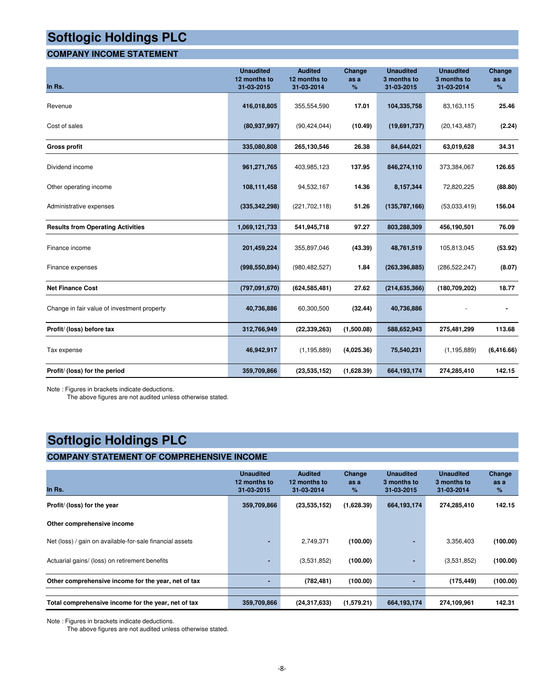### **COMPANY INCOME STATEMENT**

| In Rs.                                      | <b>Unaudited</b><br>12 months to<br>31-03-2015 | <b>Audited</b><br>12 months to<br>31-03-2014 | Change<br>as a<br>% | <b>Unaudited</b><br>3 months to<br>31-03-2015 | <b>Unaudited</b><br>3 months to<br>31-03-2014 | Change<br>as a<br>% |
|---------------------------------------------|------------------------------------------------|----------------------------------------------|---------------------|-----------------------------------------------|-----------------------------------------------|---------------------|
| Revenue                                     | 416,018,805                                    | 355,554,590                                  | 17.01               | 104,335,758                                   | 83,163,115                                    | 25.46               |
| Cost of sales                               | (80, 937, 997)                                 | (90, 424, 044)                               | (10.49)             | (19,691,737)                                  | (20, 143, 487)                                | (2.24)              |
| <b>Gross profit</b>                         | 335,080,808                                    | 265,130,546                                  | 26.38               | 84,644,021                                    | 63,019,628                                    | 34.31               |
| Dividend income                             | 961,271,765                                    | 403,985,123                                  | 137.95              | 846,274,110                                   | 373,384,067                                   | 126.65              |
| Other operating income                      | 108,111,458                                    | 94,532,167                                   | 14.36               | 8,157,344                                     | 72,820,225                                    | (88.80)             |
| Administrative expenses                     | (335, 342, 298)                                | (221, 702, 118)                              | 51.26               | (135,787,166)                                 | (53,033,419)                                  | 156.04              |
| <b>Results from Operating Activities</b>    | 1,069,121,733                                  | 541,945,718                                  | 97.27               | 803,288,309                                   | 456,190,501                                   | 76.09               |
| Finance income                              | 201,459,224                                    | 355,897,046                                  | (43.39)             | 48,761,519                                    | 105,813,045                                   | (53.92)             |
| Finance expenses                            | (998, 550, 894)                                | (980, 482, 527)                              | 1.84                | (263, 396, 885)                               | (286, 522, 247)                               | (8.07)              |
| <b>Net Finance Cost</b>                     | (797,091,670)                                  | (624, 585, 481)                              | 27.62               | (214, 635, 366)                               | (180, 709, 202)                               | 18.77               |
| Change in fair value of investment property | 40,736,886                                     | 60,300,500                                   | (32.44)             | 40,736,886                                    |                                               |                     |
| Profit/ (loss) before tax                   | 312,766,949                                    | (22, 339, 263)                               | (1,500.08)          | 588,652,943                                   | 275,481,299                                   | 113.68              |
| Tax expense                                 | 46,942,917                                     | (1, 195, 889)                                | (4,025.36)          | 75,540,231                                    | (1, 195, 889)                                 | (6, 416.66)         |
| Profit/ (loss) for the period               | 359,709,866                                    | (23,535,152)                                 | (1,628.39)          | 664,193,174                                   | 274,285,410                                   | 142.15              |

Note : Figures in brackets indicate deductions.

The above figures are not audited unless otherwise stated.

### **Softlogic Holdings PLC**

### **COMPANY STATEMENT OF COMPREHENSIVE INCOME**

| In Rs.                                                   | <b>Unaudited</b><br>12 months to<br>31-03-2015 | <b>Audited</b><br>12 months to<br>31-03-2014 | Change<br>as a<br>$\%$ | <b>Unaudited</b><br>3 months to<br>31-03-2015 | <b>Unaudited</b><br>3 months to<br>31-03-2014 | Change<br>as a<br>% |
|----------------------------------------------------------|------------------------------------------------|----------------------------------------------|------------------------|-----------------------------------------------|-----------------------------------------------|---------------------|
| Profit/ (loss) for the year                              | 359,709,866                                    | (23,535,152)                                 | (1,628.39)             | 664, 193, 174                                 | 274,285,410                                   | 142.15              |
| Other comprehensive income                               |                                                |                                              |                        |                                               |                                               |                     |
| Net (loss) / gain on available-for-sale financial assets |                                                | 2,749,371                                    | (100.00)               | ٠                                             | 3,356,403                                     | (100.00)            |
| Actuarial gains/ (loss) on retirement benefits           |                                                | (3,531,852)                                  | (100.00)               | ٠                                             | (3,531,852)                                   | (100.00)            |
| Other comprehensive income for the year, net of tax      |                                                | (782, 481)                                   | (100.00)               |                                               | (175, 449)                                    | (100.00)            |
|                                                          |                                                |                                              |                        |                                               |                                               |                     |
| Total comprehensive income for the year, net of tax      | 359,709,866                                    | (24, 317, 633)                               | (1,579.21)             | 664, 193, 174                                 | 274,109,961                                   | 142.31              |

Note : Figures in brackets indicate deductions.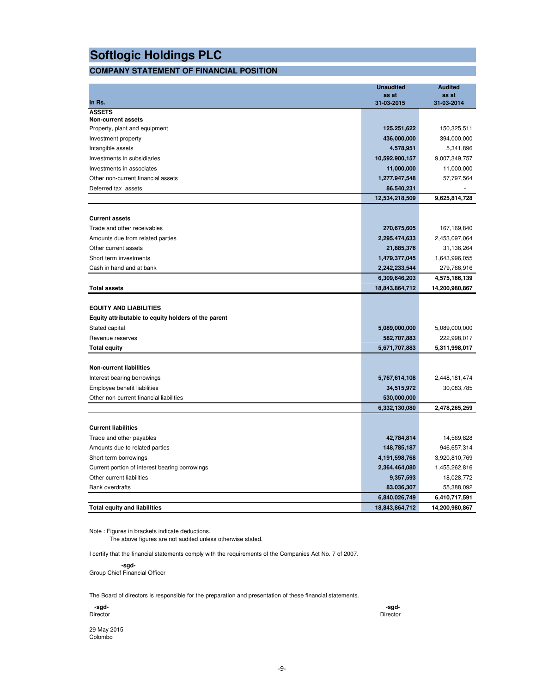### **COMPANY STATEMENT OF FINANCIAL POSITION**

|                                                     | <b>Unaudited</b>    | <b>Audited</b>               |
|-----------------------------------------------------|---------------------|------------------------------|
| In Rs.                                              | as at<br>31-03-2015 | as at<br>31-03-2014          |
| <b>ASSETS</b>                                       |                     |                              |
| <b>Non-current assets</b>                           |                     |                              |
| Property, plant and equipment                       | 125,251,622         | 150,325,511                  |
| Investment property                                 | 436,000,000         | 394,000,000                  |
| Intangible assets                                   | 4,578,951           | 5,341,896                    |
| Investments in subsidiaries                         | 10,592,900,157      | 9,007,349,757                |
| Investments in associates                           | 11,000,000          | 11,000,000                   |
| Other non-current financial assets                  | 1,277,947,548       | 57,797,564                   |
| Deferred tax assets                                 | 86,540,231          |                              |
|                                                     | 12,534,218,509      | 9,625,814,728                |
| <b>Current assets</b>                               |                     |                              |
| Trade and other receivables                         | 270,675,605         | 167,169,840                  |
| Amounts due from related parties                    | 2,295,474,633       | 2,453,097,064                |
| Other current assets                                | 21,885,376          | 31,136,264                   |
| Short term investments                              | 1,479,377,045       | 1,643,996,055                |
| Cash in hand and at bank                            | 2,242,233,544       |                              |
|                                                     | 6,309,646,203       | 279,766,916<br>4,575,166,139 |
| <b>Total assets</b>                                 | 18,843,864,712      | 14,200,980,867               |
|                                                     |                     |                              |
| <b>EQUITY AND LIABILITIES</b>                       |                     |                              |
| Equity attributable to equity holders of the parent |                     |                              |
| Stated capital                                      | 5,089,000,000       | 5,089,000,000                |
| Revenue reserves                                    | 582,707,883         | 222,998,017                  |
| <b>Total equity</b>                                 | 5,671,707,883       | 5,311,998,017                |
|                                                     |                     |                              |
| <b>Non-current liabilities</b>                      |                     |                              |
| Interest bearing borrowings                         | 5,767,614,108       | 2,448,181,474                |
| Employee benefit liabilities                        | 34,515,972          | 30,083,785                   |
| Other non-current financial liabilities             | 530,000,000         |                              |
|                                                     | 6,332,130,080       | 2,478,265,259                |
| <b>Current liabilities</b>                          |                     |                              |
|                                                     |                     |                              |
| Trade and other payables                            | 42,784,814          | 14,569,828                   |
| Amounts due to related parties                      | 148,785,187         | 946,657,314                  |
| Short term borrowings                               | 4,191,598,768       | 3,920,810,769                |
| Current portion of interest bearing borrowings      | 2,364,464,080       | 1,455,262,816                |
| Other current liabilities                           | 9,357,593           | 18,028,772                   |
| <b>Bank overdrafts</b>                              | 83,036,307          | 55,388,092                   |
|                                                     | 6,840,026,749       | 6,410,717,591                |
| <b>Total equity and liabilities</b>                 | 18,843,864,712      | 14,200,980,867               |

Note : Figures in brackets indicate deductions. The above figures are not audited unless otherwise stated.

I certify that the financial statements comply with the requirements of the Companies Act No. 7 of 2007.

 **-sgd-**Group Chief Financial Officer

The Board of directors is responsible for the preparation and presentation of these financial statements.

| -sgd-    | -sgd-    |
|----------|----------|
| Director | Director |

29 May 2015 Colombo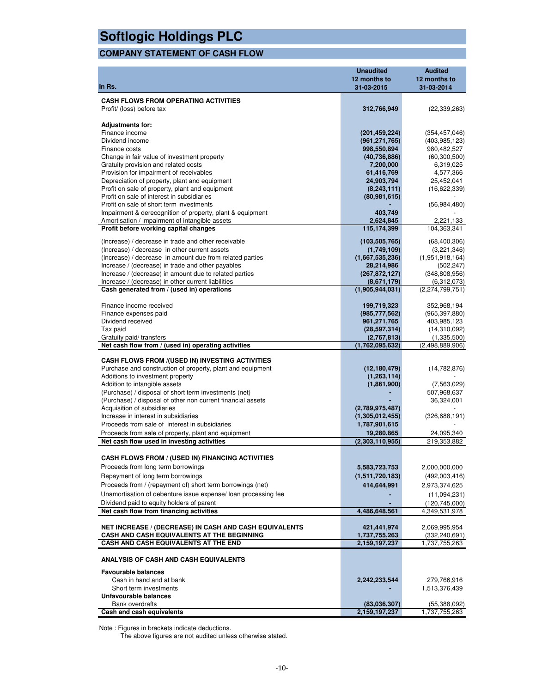### **COMPANY STATEMENT OF CASH FLOW**

| In Rs.                                                                                                    | <b>Unaudited</b><br>12 months to<br>31-03-2015 | <b>Audited</b><br>12 months to<br>31-03-2014 |
|-----------------------------------------------------------------------------------------------------------|------------------------------------------------|----------------------------------------------|
|                                                                                                           |                                                |                                              |
| <b>CASH FLOWS FROM OPERATING ACTIVITIES</b><br>Profit/ (loss) before tax                                  | 312,766,949                                    | (22, 339, 263)                               |
| <b>Adjustments for:</b>                                                                                   |                                                |                                              |
| Finance income                                                                                            | (201, 459, 224)                                | (354, 457, 046)                              |
| Dividend income                                                                                           | (961, 271, 765)                                | (403, 985, 123)                              |
| Finance costs                                                                                             | 998,550,894                                    | 980,482,527                                  |
| Change in fair value of investment property                                                               | (40, 736, 886)                                 | (60, 300, 500)                               |
| Gratuity provision and related costs                                                                      | 7,200,000                                      | 6,319,025                                    |
| Provision for impairment of receivables                                                                   | 61,416,769                                     | 4,577,366                                    |
| Depreciation of property, plant and equipment                                                             | 24,903,794                                     | 25,452,041                                   |
| Profit on sale of property, plant and equipment                                                           | (8, 243, 111)                                  | (16,622,339)                                 |
| Profit on sale of interest in subsidiaries<br>Profit on sale of short term investments                    | (80, 981, 615)                                 |                                              |
| Impairment & derecognition of property, plant & equipment                                                 | 403,749                                        | (56, 984, 480)                               |
| Amortisation / impairment of intangible assets                                                            | 2,624,845                                      | 2,221,133                                    |
| Profit before working capital changes                                                                     | 115,174,399                                    | 104,363,341                                  |
|                                                                                                           |                                                |                                              |
| (Increase) / decrease in trade and other receivable                                                       | (103, 505, 765)                                | (68, 400, 306)                               |
| (Increase) / decrease in other current assets<br>(Increase) / decrease in amount due from related parties | (1,749,109)<br>(1,667,535,236)                 | (3,221,346)<br>(1,951,918,164)               |
| Increase / (decrease) in trade and other payables                                                         | 28,214,986                                     | (502, 247)                                   |
| Increase / (decrease) in amount due to related parties                                                    | (267, 872, 127)                                | (348, 808, 956)                              |
| Increase / (decrease) in other current liabilities                                                        | (8,671,179)                                    | (6,312,073)                                  |
| Cash generated from / (used in) operations                                                                | (1,905,944,031)                                | (2,274,799,751)                              |
|                                                                                                           |                                                |                                              |
| Finance income received                                                                                   | 199,719,323                                    | 352,968,194                                  |
| Finance expenses paid                                                                                     | (985, 777, 562)                                | (965, 397, 880)                              |
| Dividend received                                                                                         | 961,271,765                                    | 403,985,123                                  |
| Tax paid                                                                                                  | (28, 597, 314)                                 | (14,310,092)                                 |
| Gratuity paid/ transfers                                                                                  | (2,767,813)                                    | (1,335,500)                                  |
| Net cash flow from / (used in) operating activities                                                       | (1,762,095,632)                                | (2,498,889,906)                              |
| <b>CASH FLOWS FROM /(USED IN) INVESTING ACTIVITIES</b>                                                    |                                                |                                              |
| Purchase and construction of property, plant and equipment                                                | (12, 180, 479)                                 | (14, 782, 876)                               |
| Additions to investment property                                                                          | (1,263,114)                                    |                                              |
| Addition to intangible assets                                                                             | (1,861,900)                                    | (7,563,029)                                  |
| (Purchase) / disposal of short term investments (net)                                                     |                                                | 507,968,637                                  |
| (Purchase) / disposal of other non current financial assets                                               |                                                | 36,324,001                                   |
| Acquisition of subsidiaries                                                                               | (2,789,975,487)                                |                                              |
| Increase in interest in subsidiaries                                                                      | (1,305,012,455)                                | (326, 688, 191)                              |
| Proceeds from sale of interest in subsidiaries                                                            | 1,787,901,615                                  |                                              |
| Proceeds from sale of property, plant and equipment                                                       | 19,280,865                                     | 24,095,340                                   |
| Net cash flow used in investing activities                                                                | (2,303,110,955)                                | 219,353,882                                  |
| CASH FLOWS FROM / (USED IN) FINANCING ACTIVITIES                                                          |                                                |                                              |
| Proceeds from long term borrowings                                                                        | 5,583,723,753                                  | 2,000,000,000                                |
| Repayment of long term borrowings                                                                         | (1,511,720,183)                                | (492,003,416)                                |
| Proceeds from / (repayment of) short term borrowings (net)                                                | 414,644,991                                    | 2,973,374,625                                |
| Unamortisation of debenture issue expense/loan processing fee                                             |                                                |                                              |
| Dividend paid to equity holders of parent                                                                 |                                                | (11,094,231)<br>(120, 745, 000)              |
| Net cash flow from financing activities                                                                   | 4,486,648,561                                  | 4,349,531,978                                |
|                                                                                                           |                                                |                                              |
| <b>NET INCREASE / (DECREASE) IN CASH AND CASH EQUIVALENTS</b>                                             | 421,441,974                                    | 2,069,995,954                                |
| CASH AND CASH EQUIVALENTS AT THE BEGINNING                                                                | 1,737,755,263                                  | (332, 240, 691)                              |
| CASH AND CASH EQUIVALENTS AT THE END                                                                      | 2,159,197,237                                  | 1,737,755,263                                |
| ANALYSIS OF CASH AND CASH EQUIVALENTS                                                                     |                                                |                                              |
| <b>Favourable balances</b>                                                                                |                                                |                                              |
| Cash in hand and at bank                                                                                  | 2,242,233,544                                  | 279,766,916                                  |
| Short term investments                                                                                    |                                                | 1,513,376,439                                |
| Unfavourable balances                                                                                     |                                                |                                              |
| Bank overdrafts<br>Cash and cash equivalents                                                              | (83,036,307)<br>2,159,197,237                  | (55,388,092)<br>1,737,755,263                |
|                                                                                                           |                                                |                                              |

Note : Figures in brackets indicate deductions.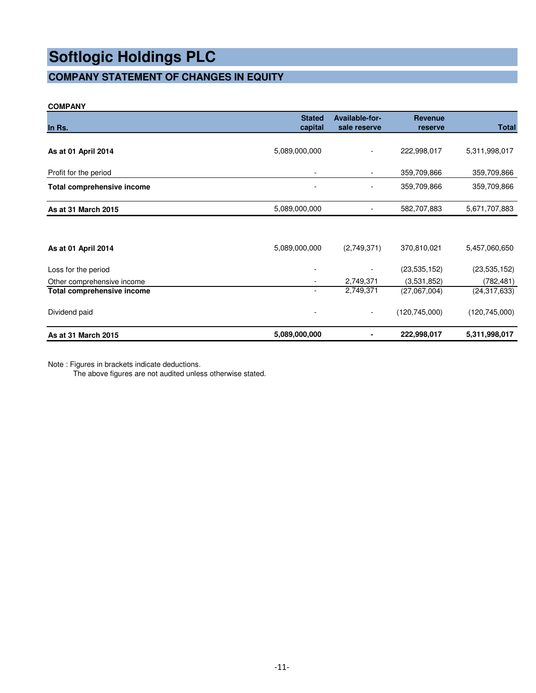### **COMPANY STATEMENT OF CHANGES IN EQUITY**

### **COMPANY**

|                            | <b>Stated</b>            | Available-for-               | <b>Revenue</b>  |                 |
|----------------------------|--------------------------|------------------------------|-----------------|-----------------|
| In Rs.                     | capital                  | sale reserve                 | reserve         | <b>Total</b>    |
| As at 01 April 2014        | 5,089,000,000            |                              | 222,998,017     | 5,311,998,017   |
| Profit for the period      |                          | $\qquad \qquad \blacksquare$ | 359,709,866     | 359,709,866     |
| Total comprehensive income | $\overline{\phantom{a}}$ |                              | 359,709,866     | 359,709,866     |
| As at 31 March 2015        | 5,089,000,000            |                              | 582,707,883     | 5,671,707,883   |
|                            |                          |                              |                 |                 |
| As at 01 April 2014        | 5,089,000,000            | (2,749,371)                  | 370,810,021     | 5,457,060,650   |
| Loss for the period        |                          |                              | (23, 535, 152)  | (23, 535, 152)  |
| Other comprehensive income |                          | 2,749,371                    | (3,531,852)     | (782, 481)      |
| Total comprehensive income | $\overline{\phantom{a}}$ | 2,749,371                    | (27,067,004)    | (24, 317, 633)  |
| Dividend paid              | ٠                        | $\overline{\phantom{a}}$     | (120, 745, 000) | (120, 745, 000) |
| As at 31 March 2015        | 5,089,000,000            | ٠                            | 222,998,017     | 5,311,998,017   |

Note : Figures in brackets indicate deductions.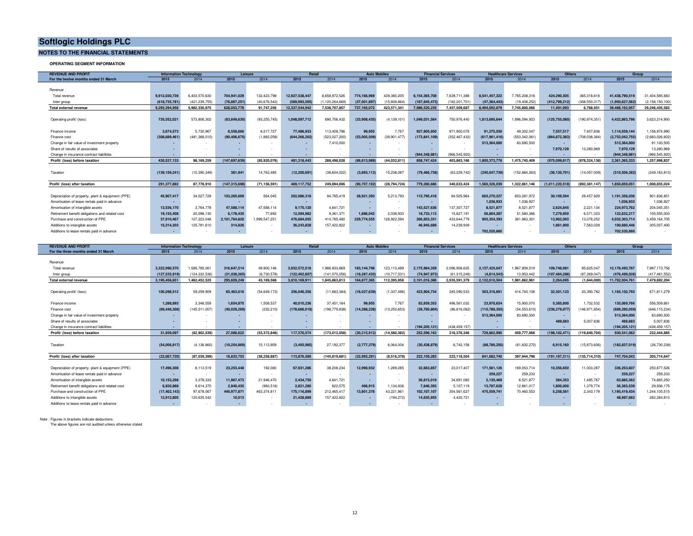#### **NOTES TO THE FINANCIAL STATEMENTS**

**OPERATING SEGMENT INFORMATION**

| <b>REVENUE AND PROFIT</b><br><b>Information Technology</b><br>Leisure |                 |                 | <b>Retail</b>  |                | <b>Auto Mobiles</b> |               | <b>Financial Services</b><br><b>Healthcare Services</b> |                | Others        |                 | Group           |               |                 |               |                 |                   |
|-----------------------------------------------------------------------|-----------------|-----------------|----------------|----------------|---------------------|---------------|---------------------------------------------------------|----------------|---------------|-----------------|-----------------|---------------|-----------------|---------------|-----------------|-------------------|
| For the twelve months ended 31 March                                  | 2015            | 2014            | 2015           | 2014           | 2015                | 2014          | 2015                                                    | 2014           | 2015          | 2014            | 2015            | 2014          | 2015            | 2014          | 2015            | 2014              |
|                                                                       |                 |                 |                |                |                     |               |                                                         |                |               |                 |                 |               |                 |               |                 |                   |
| Revenue                                                               |                 |                 |                |                |                     |               |                                                         |                |               |                 |                 |               |                 |               |                 |                   |
| Total revenue                                                         | 9.912.030.739   | 6.403.570.630   | 704.941.029    | 132,423,798    | 12.927.538.447      | 8.658.972.526 | 774,166,969                                             | 439.380.205    | 8.154.365.708 | 7.639.711.388   | 8.541.457.322   | 7.765.208.318 | 424.290.305     | 365.318.818   | 41.438.790.519  | 31.404.585.683    |
| Inter group                                                           | (618,735,781    | (421.239.755)   | (76, 887, 251) | (40.676.542)   | (589, 993, 505)     | 1.120.264.669 | (37,001,897)                                            | (15,808,864)   | (167,845,473  | (182.201.701)   | (47, 364, 443)  | (19.408.252)  | (412.799.212)   | (358.550.317) | (1,950,627,562  | (2, 158, 150, 100 |
| Total external revenue                                                | 9.293.294.958   | 5.982.330.875   | 628,053,778    | 91.747.256     | 12.337.544.942      | 7.538.707.857 | 737.165.072                                             | 423.571.341    | 7.986.520.235 | 7.457.509.687   | 8.494.092.879   | 7.745.800.066 | 11.491.093      | 6.768.501     | 39.488.162.957  | 29.246.435.583    |
|                                                                       |                 |                 |                |                |                     |               |                                                         |                |               |                 |                 |               |                 |               |                 |                   |
| Operating profit/ (loss)                                              | 735,552,021     | 573.806.302     | (63,849,630    | (93, 255, 745) | 1,048,097,712       | 690,706,432   | (33,908,435)                                            | (4, 139, 101)  | 1.049.031.564 | 750,976,440     | 1,813,695,644   | 1,896,094,923 | (125, 755, 080) | (190.974.351) | 4,422,863,796   | 3,623,214,900     |
|                                                                       |                 |                 |                |                |                     |               |                                                         |                |               |                 |                 |               |                 |               |                 |                   |
| Finance income                                                        | 3.674.573       | 5.730.967       | 6,558,666      | 9.217.727      | 77,486,933          | 113,408,796   | 99.955                                                  | 7.767          | 927.905.950   | 971.900.078     | 91.275.550      | 49.302.047    | 7.557.517       | 7.407.608     | 1.114.559.144   | 1.156.974.990     |
| Finance cost                                                          | (308,689,461    | (481, 368, 010) | (90,406,675    | (1,882,058)    | (644, 266, 202)     | (523,027,200) | (53,005,509)                                            | (39, 901, 477) | (173,841,109  | (352, 467, 432) | (617, 961, 416) | (553,342,061  | (864, 872, 383) | (708,038,364) | (2,753,042,755  | (2,660,026,602)   |
| Change in fair value of investment property                           |                 |                 |                |                |                     | 7.410.000     |                                                         |                |               |                 | 513,364,000     | 83,690,500    |                 |               | 513.364.000     | 91,100,500        |
| Share of results of associates                                        |                 |                 |                |                |                     |               |                                                         |                |               |                 |                 |               | 7.970.129       | 13,280,969    | 7.970.129       | 13,280,969        |
| Change in insurance contract liabilities                              |                 |                 |                |                |                     |               |                                                         |                | (944,348.98)  | (966.545.920)   | $\sim$          |               |                 |               | (944,348,981    | (966,545,920)     |
| Profit/ (loss) before taxation                                        | 430.537.133     | 98.169.259      | (147,697,639   | (85.920.076)   | 481.318.443         | 288.498.028   | (86,813,989)                                            | (44,032,81     | 858,747,424   | 403.863.166     | 1.800.373.778   | 1.475.745.409 | (975,099,817    | (878.324.138) | 2.361.365.333   | 1,257,998,837     |
|                                                                       |                 |                 |                |                |                     |               |                                                         |                |               |                 |                 |               |                 |               |                 |                   |
| Taxation                                                              | (139, 159, 241) | (10, 390, 349)  | 381.941        | 14,763,485     | (12.200.691)        | (38,604,022)  | (3,893,113)                                             | 15,238,087     | (79,466,738)  | (63, 229, 742)  | (240,047,739)   | (152,884,263) | (36.120.701)    | (14,057,009)  | (510, 506, 282) | (249, 163, 813)   |
|                                                                       |                 |                 |                |                |                     |               |                                                         |                |               |                 |                 |               |                 |               |                 |                   |
| Profit/ (loss) after taxation                                         | 291.377.892     | 87.778.910      | (147,315,698   | (71.156.591)   | 469.117.752         | 249.894.006   | (90, 707, 102)                                          | (28.794.724)   | 779.280.686   | 340.633.424     | 1.560.326.039   | 1.322.861.146 | (1,011,220,518) | (892.381.147) | 1.850.859.051   | 1.008.835.024     |
|                                                                       |                 |                 |                |                |                     |               |                                                         |                |               |                 |                 |               |                 |               |                 |                   |
| Depreciation of property, plant & equipment (PPE)                     | 45,907.417      | 34.027.729      | 103.265.669    | 564.045        | 202.086.318         | 94,785,419    | 28.921.393                                              | 5.213.793      | 115.795.418   | 84.505.964      | 665.270.227     | 653.281.972   | 30.109.594      | 29.457.929    | 1.191.356.036   | 901,836,851       |
| Amortisation of lease rentals paid in advance                         | . .             | $\sim$          |                |                |                     |               |                                                         |                |               | $\sim$          | 1.036.933       | 1.036.927     | . .             |               | 1,036,933       | 1,036,927         |
| Amortisation of intangible assets                                     | 13,536,170      | 3.764.778       | 47.588.114     | 47.588.114     | 9.175.120           | 4.641.721     |                                                         |                | 143.527.636   | 137.307.727     | 8.521.877       | 8.521.877     | 2.624.845       | 2.221.134     | 224,973,762     | 204,045,351       |
| Retirement benefit obligations and related cost                       | 19,155,408      | 20.098.130      | 6.178.435      | 77,692         | 12.594.982          | 9.361.371     | 1.886.042                                               | 2.038.930      | 18.733.113    | 15.827.191      | 56.804.287      | 51.580.366    | 7.279.950       | 6.571.323     | 122.632.217     | 105.555.003       |
| Purchase and construction of PPE                                      | 37,910,467      | 107.223.048     | 2.101.764.820  | .999.547.251   | 476.684.055         | 414,785,480   | 229,774,555                                             | 128.922.594    | 266,853,331   | 433.644.779     | 905.354.393     | 361.963.301   | 13,962,093      | 13.078.252    | 4.032.303.714   | 3,459,164,705     |
| Additions to intangible assets                                        | 15.314.203      | 125.781.610     | 314,826        |                | 36,243,828          | 157,422,822   |                                                         |                | 46,945,689    | 14.239.939      | $\sim$          |               | 1.861.900       | 7.563.029     | 100.680.446     | 305,007,400       |
| Additions to lease rentals paid in advance                            | . .             |                 |                |                |                     |               |                                                         |                |               |                 | 702.520.660     |               | <b>1999</b>     |               | 702.520.660     |                   |

| <b>REVENUE AND PROFIT</b>                         | <b>Information Technology</b> |               |              | Leisure      | <b>Retail</b>   |               | <b>Auto Mobiles</b> |                |                | <b>Financial Services</b> | <b>Healthcare Services</b> |                | <b>Others</b>   |                 | Group           |                 |
|---------------------------------------------------|-------------------------------|---------------|--------------|--------------|-----------------|---------------|---------------------|----------------|----------------|---------------------------|----------------------------|----------------|-----------------|-----------------|-----------------|-----------------|
| For the three months ended 31 March               | 2015                          | 2014          | 2015         | 2014         | 2015            | 2014          | 2015                | 2014           | 2015           | 2014                      | 2015                       | 2014           | 2015            | 2014            | 2015            | 2014            |
|                                                   |                               |               |              |              |                 |               |                     |                |                |                           |                            |                |                 |                 |                 |                 |
| Revenue                                           |                               |               |              |              |                 |               |                     |                |                |                           |                            |                |                 |                 |                 |                 |
| Total revenue                                     | 3.322.990.570                 | 1.586.785.061 | 316,647,514  | 49.900.146   | 3.932.572.518   | 1.986.933.869 | 183.144.798         | 123.113.489    | 2.175.964.359  | 2.096.906.625             | 2.137.425.047              | 1,967,909,519  | 109.748.981     | 85.625.047      | 12.178.493.787  | 7.897.173.756   |
| Inter group                                       | (127,533,919)                 | (124.332.536) | (21.038.265) | (6.730.578)  | (122.402.607    | (141.070.056) | (18, 267, 433)      | (10.717.531    | (74,947,973)   | (61.315.246)              | (4.814.543)                | 13.953.442     | (107.484.286    | (87.269.047)    | (476,489,026    | (417,481,552    |
| Total external revenue                            | 3.195.456.651                 | 1.462.452.525 | 295.609.249  | 43.169.568   | 3.810.169.911   | 1.845.863.813 | 164,877,365         | 112.395.958    | 2.101.016.386  | 2.035.591.379             | 2.132.610.504              | 1.981.862.961  | 2.264.695       | (1.644.000)     | 11.702.004.761  | 7.479.692.204   |
|                                                   |                               |               |              |              |                 |               |                     |                |                |                           |                            |                |                 |                 |                 |                 |
| Operating profit/ (loss)                          | 100.098.512                   | 59.259.909    | 65,463,016   | (54.649.173) | 256.046.356     | (11.683.384)  | (16,027,639         | (1.337.496)    | 423.904.734    | 245.090.533               | 303.316.691                | 414.740.108    | 32.301.123      | 20,390,782      | 1.165.102.793   | 671.811.279     |
|                                                   |                               |               |              |              |                 |               |                     |                |                |                           |                            |                |                 |                 |                 |                 |
| Finance income                                    | 1.288.893                     | 3.348.559     | 1.654.875    | 1,508,537    | 40,010,236      | 37.451.164    | 99.955              | 7.767          | 62.659.353     | 496.561.032               | 23.970.654                 | 15,900.070     | 5.385.800       | 1,732,532       | 135,069,766     | 556,509,661     |
| Finance cost                                      | (69, 448, 308)                | 145,511,007   | (40.029.269  | (232, 210)   | (178, 686, 018) | (198,779,838) | (14,288,228         | (13, 250, 653) | (39.760.804)   | (86, 816, 062)            | (110, 788, 355)            | (54, 553, 610) | (236, 279, 077) | (146, 971, 854) | (689,280,059    | (646, 115, 234) |
| Change in fair value of investment property       |                               |               |              |              |                 |               |                     |                |                |                           | 513,364,000                | 83,690,500     |                 |                 | 513.364.000     | 83,690,500      |
| Share of results of associates                    |                               |               |              |              |                 |               |                     |                |                |                           |                            |                | 489,683         | 5.007.836       | 489.683         | 5,007,836       |
| Change in insurance contract liabilities          |                               |               |              |              |                 |               |                     |                | (194,205,121)  | (438.459.157)             |                            |                |                 |                 | (194,205,121)   | (438, 459, 157  |
| Profit/ (loss) before taxation                    | 31.939.097                    | (82.902.539)  | 27.088.622   | (53.372.846) | 117.370.574     | (173.012.058) | (30.215.912)        | (14.580.382)   | 252.598.162    | 216.376.346               | 729.862.990                | 459.777.068    | (198.102.471)   | (119,840,704)   | 930.541.062     | 232.444.885     |
|                                                   |                               |               |              |              |                 |               |                     |                |                |                           |                            |                |                 |                 |                 |                 |
| Taxation                                          | (54,006,817                   | (4, 136, 860) | (10,254,869  | 15,113,959   | (3, 493, 985)   | 27.192.377    | (2,777,379)         | 6.064.004      | (30, 438, 879) | 6.742.158                 | (88,780,250)               | (61, 832, 270) | 6,915,160       | (15, 873, 606)  | (182, 837, 019) | (26, 730, 238)  |
|                                                   |                               |               |              |              |                 |               |                     |                |                |                           |                            |                |                 |                 |                 |                 |
| Profit/ (loss) after taxation                     | (22.067.720)                  | (87.039.399)  | 16.833.753   | (38.258.887) | 113,876,589     | (145.819.681) | (32.993.291         | (8.516.378)    | 222.159.283    | 223.118.504               | 641.082.740                | 397.944.798    | (191.187.311)   | (135.714.310)   | 747.704.043     | 205.714.647     |
|                                                   |                               |               |              |              |                 |               |                     |                |                |                           |                            |                |                 |                 |                 |                 |
| Depreciation of property, plant & equipment (PPE) | 17,496,308                    | 8,113,519     | 23.253.448   | 192,080      | 67.931.286      | 38,208,234    | 12.990.932          | 1,289,285      | 32,663,857     | 23.017.407                | 171.561.126                | 169.053.714    | 10,356,650      | 11.003.287      | 336,253,607     | 250.877.526     |
| Amortisation of lease rentals paid in advance     |                               |               |              |              |                 |               |                     |                |                |                           | 259,227                    | 259.233        |                 |                 | 259,227         | 259,233         |
| Amortisation of intangible assets                 | 10.153.298                    | 3.378.333     | 11.967.473   | 21.946.470   | 2.434.750       | 4.641.721     |                     |                | 36,815,019     | 34,691,082                | 2.130.469                  | 8.521.877      | 384.353         | 1.485.767       | 63.885.362      | 74.665.250      |
| Retirement benefit obligations and related cost   | 6.920.888                     | 9.614.370     | 2.940.435    | (983, 516)   | 2.821.280       | 822.575       | 466,915             | 1.134.836      | 7.646.393      | 5.107.119                 | 13,787,628                 | 12.861.017     | 1.800.000       | 1.379.774       | 36.383.539      | 29,936,175      |
| Purchase and construction of PPE                  | (17, 402, 143)                | 97.678.067    | 440.977.871  | 463.374.811  | 175.116.899     | 212,465,417   | 13,801.378          | 43.221.861     | 102,107,107    | 354,561,627               | 475.559.741                | 70.460.553     | 5.258.581       | 2.343.179       | 1.195.419.434   | 1,244,105,515   |
| Additions to intangible assets                    | 12.912.805                    | 120.635.542   | 10.013       |              | 21.428.889      | 157,422,822   | . .                 | (194, 272)     | 14,635,955     | 4,420,721                 |                            |                |                 |                 | 48.987.662      | 282.284.813     |
| Additions to lease rentals paid in advance        | $\sim$                        |               |              |              |                 |               |                     |                | $\sim$         |                           |                            |                |                 |                 |                 |                 |

Note : Figures in brackets indicate deductions.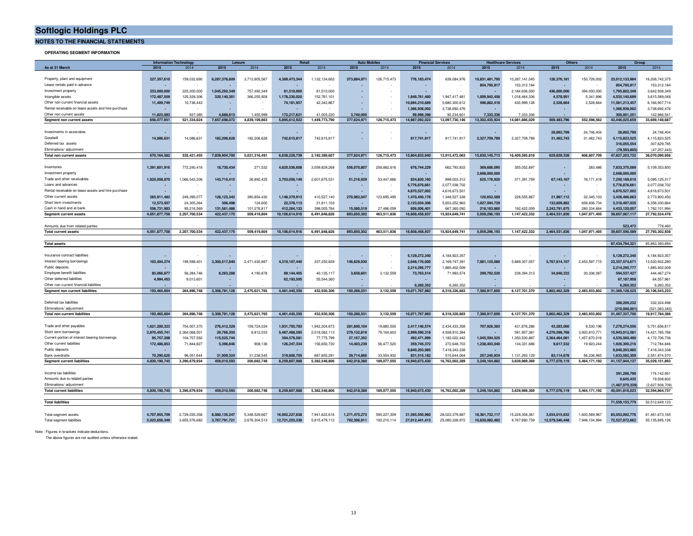**NOTES TO THE FINANCIAL STATEMENTS**

**OPERATING SEGMENT INFORMATION**

|                                                            | <b>Information Technology</b><br>Retail<br>Leisure |               | <b>Auto Mor</b><br><b>Financial Services</b> |               | <b>Others</b><br><b>Healthcare Services</b> |               | Group         |             |                |                  |                   |                |                |               |                          |                  |
|------------------------------------------------------------|----------------------------------------------------|---------------|----------------------------------------------|---------------|---------------------------------------------|---------------|---------------|-------------|----------------|------------------|-------------------|----------------|----------------|---------------|--------------------------|------------------|
| As at 31 March                                             | 2015                                               | 2014          | 2015                                         | 2014          | 2015                                        | 2014          | 2015          | 2014        | 2015           | 2014             | 2015              | 2014           | 2015           | 2014          | 2015                     | 2014             |
|                                                            |                                                    |               |                                              |               |                                             |               |               |             |                |                  |                   |                |                |               |                          |                  |
| Property, plant and equipment                              | 227,357,610                                        | 159,032,690   | 6,287,376,609                                | 3,713,905,587 | 4,389,473,344                               | 1,132,134,602 | 373,884,971   | 126,715,473 | 776,183,474    | 639,084,976      | 10,831,481,795    | 10,287,141,045 | 126,376,181    | 150,728,002   | 23,012,133,984           | 16,208,742,375   |
| Lease rentals paid in advance                              |                                                    |               |                                              |               |                                             |               |               |             |                |                  | 854,795,917       | 153,312,184    |                |               | 854.795.917              | 153,312,184      |
| Investment property                                        | 233.000.000                                        | 225,300,000   | 1.045.292.349                                | 757.492.349   | 81.510.000                                  | 81,510,000    | ٠.            |             |                |                  |                   | 2,184,636,000  | 436.000.000    | 394,000,000   | 1,795,802,349            | 3,642,938,349    |
| Intangible assets                                          | 172,487,509                                        | 125,328,306   | 320,140,301                                  | 366,255,928   | 1,178,230,020                               | 152,781,101   | ×.            |             | 1,849,761,460  | 1,947,417,481    | 1,009,942,458     | 1,018,464,336  | 4,578,951      | 5,341,896     | 4,535,140,699            | 3,615,589,048    |
| Other non current financial assets                         | 11,409,749                                         | 10,736,443    |                                              |               | 74,181,937                                  | 42,342,867    |               |             | 10.894.210.689 | 5,680,300,612    | 598.882.418       | 430,999,128    | 2,528,664      | 2,528,664     | 11,581,213,457           | 6,166,907,714    |
| Rental receivable on lease assets and hire purchase        |                                                    |               |                                              |               |                                             |               |               |             | 1,366,938,002  | 3,738,692,476    |                   |                |                |               | 1,366,938,002            | 3,738,692,476    |
| Other non current assets                                   | 11,823,083                                         | 937.385       | 4.888.813                                    | 1.455.999     | 172,217,621                                 | 41,005,220    | 3.740.000     |             | 99,998,398     | 92,234,601       | 7,333,336         | 7.333.336      |                |               | 300,001,251              | 142,966,541      |
| Segment non current assets                                 | 656,077,951                                        | 521,334,824   | 7,657,698,072                                | 4,839,109,863 | 5,895,612,922                               | 1,449,773,790 | 377,624,971   | 126,715,473 | 14,987,092,023 | 12,097,730,146   | 13,302,435,924    | 14,081,886,029 | 569,483,796    | 552,598,562   | 43,446,025,659           | 33,669,148,687   |
|                                                            |                                                    |               |                                              |               |                                             |               |               |             |                |                  |                   |                |                |               |                          |                  |
| Investments in associates                                  |                                                    |               |                                              |               |                                             |               |               |             |                |                  |                   |                | 28,892,799     | 24,746,404    | 28,892,799               | 24,746,404       |
| Goodwill                                                   | 14,086,631                                         | 14,086,631    | 182,206,628                                  | 182,206,628   | 742,615,817                                 | 742,615,817   | ÷             |             | 817,741,917    | 817,741,917      | 2,327,709,789     | 2,327,709,789  | 31,462,743     | 31,462,743    | 4,115,823,525            | 4,115,823,525    |
| Deferred tax assets                                        |                                                    |               |                                              |               |                                             |               |               |             |                |                  |                   |                |                |               | 316,055,554              | 307,629,785      |
| Eliminations/ adjustment                                   |                                                    |               |                                              |               |                                             |               |               |             |                |                  |                   |                |                |               | (79,593,805              | (47.257.445      |
| Total non current assets                                   | 670, 164, 582                                      | 535,421,455   | 7,839,904,700                                | 5,021,316,491 | 6,638,228,739                               | 2,192,389,607 | 377,624,971   | 126,715,473 | 15,804,833,940 | 12,915,472,063   | 15,630,145,713    | 16,409,595,818 | 629,839,338    | 608,807,709   | 47,827,203,732           | 38,070,090,956   |
|                                                            |                                                    |               |                                              |               |                                             |               |               |             |                |                  |                   |                |                |               |                          |                  |
| Inventories                                                | 1,391,601,916                                      | 772,240,418   | 18,730,434                                   | 271,532       | 4,820,536,608                               | 3,059,829,268 | 556,070,807   | 258,882,616 | 676,744,229    | 662,793,833      | 369,686,095       | 355,052,697    |                | 283,486       | 7,833,370,089            | 5,109,353,850    |
| Investment property                                        |                                                    |               |                                              |               |                                             |               |               |             |                |                  | 2,698,000,000     |                |                |               | 2,698,000,000            |                  |
| Trade and other receivables                                | 1,825,058,870                                      | 1,066,543,206 | 143,715,415                                  | 26,892,425    | 3,703,056,149                               | 2,601,675,531 | 51,216,929    | 53,447,666  | 834,820,160    | 899,003,312      | 625,178,920       | 371,391,759    | 67, 143, 167   | 76,171,418    | 7,250,189,610            | 5,095,125,317    |
| Loans and advances                                         |                                                    |               |                                              |               |                                             |               |               |             |                |                  |                   |                |                |               |                          |                  |
|                                                            |                                                    |               |                                              |               |                                             |               |               |             | 5.776.876.661  | 2,077,038,702    |                   |                |                |               | 5.776.876.661            | 2,077,038,702    |
| Rental receivable on lease assets and hire purchase        |                                                    |               |                                              |               |                                             |               | ×,            |             | 4,870,527,002  | 4,616,673,501    |                   |                |                |               | 4,870,527,002            | 4,616,673,501    |
| Other current assets                                       | 265,911,482                                        | 249,395,077   | 128, 123, 342                                | 380,854,430   | 1,148,379,913                               | 410,527,140   | 270,982,047   | 123,695,495 | 1,470,450,178  | 1,348,527,338    | 120,652,589       | 228,555,867    | 21,987,112     | 32,345,103    | 3,426,486,663            | 2,773,900,450    |
| Short term investments                                     | 12,573,507                                         | 24.305.264    | 306,498                                      | 124,600       | 22,378,113                                  | 21,811,103    |               |             | 2.123.034.306  | 5.653.252.963    | 1.027.594.729     |                | 132.609.882    | 658.836.734   | 3.318.497.035            | 6,358,330,664    |
| Cash in hand and at hank                                   | 556.731.983                                        | 95.216.569    | 131.561.486                                  | 101.276.817   | 412.264.133                                 | 398.005.784   | 15,580,519    | 27.486.059  | 856,006,401    | 667.360.092      | 218.183.860       | 192.422.009    | 2.242.791.675  | 280.334.664   | 4.433.120.057            | 1.762.101.994    |
| Segment current assets                                     | 4,051,877,758                                      | 2,207,700,534 | 422, 437, 175                                | 509,419,804   | 10,106,614,916                              | 6,491,848,826 | 893,850,302   | 463,511,836 | 16,608,458,937 | 15,924,649,741   | 5,059,296,193     | 1,147,422,332  | 2,464,531,836  | 1,047,971,405 | 39,607,067,117           | 27,792,524,478   |
|                                                            |                                                    |               |                                              |               |                                             |               |               |             |                |                  |                   |                |                |               |                          |                  |
| Amounts due from related parties                           |                                                    |               |                                              |               |                                             |               |               |             |                |                  |                   |                |                |               | 523.472                  | 778,460          |
| <b>Total current assets</b>                                | 4,051,877,758                                      | 2.207.700.534 | 422, 437, 175                                | 509.419.804   | 10,106,614,916                              | 6.491.848.826 | 893.850.302   | 463.511.836 | 16,608,458,937 | 15.924.649.741   | 5,059,296,193     | 1.147.422.332  | 2.464.531.836  | 1,047,971,405 | 39.607.590.589           | 27.793.302.938   |
|                                                            |                                                    |               |                                              |               |                                             |               |               |             |                |                  |                   |                |                |               |                          |                  |
| <b>Total assets</b>                                        |                                                    |               |                                              |               |                                             |               |               |             |                |                  |                   |                |                |               | 87,434,794,321           | 65.863.393.894   |
|                                                            |                                                    |               |                                              |               |                                             |               |               |             |                |                  |                   |                |                |               |                          |                  |
| Insurance contract liabilities                             |                                                    |               |                                              |               |                                             |               |               |             | 5,129,272,340  | 4, 184, 923, 357 |                   |                |                |               | 5,129,272,340            | 4, 184, 923, 357 |
| Interest bearing borrowings                                | 103,404,274                                        | 199,598,401   | 3,300,517,840                                | 2,471,430,887 | 4,310,107,440                               | 337,250,829   | 146.629.930   |             | 2,648,176,000  | 2,169,747,391    | 7,081,125,080     | 5,889,307,057  | 5,767,614,107  | 2,453,597,715 | 23, 357, 574, 671        | 13,520,932,280   |
| Public deposits                                            | $\sim$                                             |               |                                              |               |                                             |               | - 1           |             | 2,214,295,777  | 1,885,402,009    |                   |                |                |               | 2,214,295,777            | 1,885,402,009    |
| Employee benefit liabilities                               | 85,066,877                                         | 56,284,746    | 8,263,288                                    | 4,190,878     | 89,144,405                                  | 40, 135, 117  | 3,658,601     | 3,132,559   | 73,763,514     | 71,993,574       | 299,792,520       | 238,394,313    | 34,848,222     | 30,336,087    | 594,537,427              | 444, 467, 274    |
| Other deferred liabilities                                 | 4,994,453                                          | 9,013,601     |                                              |               | 62,193,505                                  | 55,544,360    |               |             |                |                  |                   |                |                |               | 67,187,958               | 64,557,961       |
| Other non current financial liabilities                    |                                                    |               |                                              |               |                                             |               |               |             | 6.260.352      | 6.260.352        |                   |                |                |               | 6.260.352                | 6,260,352        |
| Segment non current liabilities                            | 193.465.604                                        | 264.896.748   | 3,308,781,128                                | 2,475,621,765 | 4.461.445.350                               | 432.930.306   | 150.288.531   | 3,132,559   | 10,071,767,983 | 8,318,326,683    | 7,380,917,600     | 6,127,701,370  | 5.802.462.329  | 2,483,933,802 | 31,369,128,525           | 20,106,543,233   |
|                                                            |                                                    |               |                                              |               |                                             |               |               |             |                |                  |                   |                |                |               |                          |                  |
| Deferred tax liabilities                                   |                                                    |               |                                              |               |                                             |               |               |             |                |                  |                   |                |                |               | 308.209.232              | 332.324.498      |
| Eliminations/ adjustment                                   |                                                    |               |                                              |               |                                             |               |               |             |                |                  |                   |                |                |               | (210,000,001             | (521.083.345     |
| <b>Total non current liabilities</b>                       | 193,465,604                                        | 264,896,748   | 3,308,781,128                                | 2,475,621,765 | 4,461,445,350                               | 432,930,306   | 150,288,531   | 3,132,559   | 10,071,767,983 | 8,318,326,683    | 7,380,917,600     | 6,127,701,370  | 5,802,462,329  | 2,483,933,802 | 31,467,337,756           | 19,917,784,386   |
|                                                            |                                                    |               |                                              |               |                                             |               |               |             |                |                  |                   |                |                |               |                          |                  |
| Trade and other payables                                   | 1,621,200,323                                      | 754,007,370   | 276,412,329                                  | 159,724,034   | 1,931,705,783                               | 1,942,204,873 | 281,600,104   | 19,880,500  | 2,417,146,574  | 2,434,433,358    | 707,926,383       | 431,876,286    | 43.283.060     | 9,530,196     | 7,279,274,556            | 5,751,656,617    |
| Short term borrowings                                      | 2,870,455,741                                      | 2,364,068,501 | 29.766.350                                   | 8,812,033     | 5.487.468.585                               | 2,518,062,113 | 279,132,819   | 79,164,603  | 2.999.590.318  | 4,938,910,384    |                   | 591,957,381    | 4.276.598.768  | 3,920,810,771 | 15.943.012.581           | 14,421,785,786   |
| Current portion of interest bearing borrowings             | 95,757,208                                         | 104,707,592   | 115,525,744                                  |               | 394,579,581                                 | 77,775,799    | 27, 167, 352  |             | 492,471,999    | 1,182,022,442    | 1,045,594,525     | 1,350,530,887  | 2,364,464,081  | 1,457,670,016 | 4,535,560,490            | 4,172,706,736    |
| Other current liabilities                                  | 172,486,853                                        | 71,844,827    | 5,396,846                                    | 908,136       | 126,247,334                                 | 156,650,730   | 14,403,239    | 56,477,520  | 359,745,372    | 272,648,703      | 1,238,403,040     | 134,331,686    | 9,617,532      | 19,923,244    | 1,926,300,216            | 712,784,846      |
| Public deposits                                            |                                                    |               |                                              |               |                                             |               |               |             | 9.840.203.985  | 7,418,343,338    |                   |                |                |               | 9,840,203,985            | 7,418,343,338    |
| Bank overdrafts                                            | 70.290.620                                         | 96.051.644    | 31.909.324                                   | 31.238.545    | 319,806,705                                 | 687.855.291   | 39,714,866    | 33.554.932  | 831.515.182    | 515.644.064      | 257.240.934       | 1.131.293.129  | 83.114.678     | 56.236.965    | 1.633.592.309            | 2.551.874.570    |
| <b>Segment current liabilities</b>                         | 4.830.190.745                                      | 3.390.679.934 | 459.010.593                                  | 200.682.748   | 8.259.807.988                               | 5.382.548.806 | 642.018.380   | 189.077.555 | 16.940.673.430 | 16.762.002.289   | 3.249.164.882     | 3.639.989.369  | 6.777.078.119  | 5.464.171.192 | 41, 157, 944, 137        | 35.029.151.893   |
|                                                            |                                                    |               |                                              |               |                                             |               |               |             |                |                  |                   |                |                |               |                          |                  |
|                                                            |                                                    |               |                                              |               |                                             |               |               |             |                |                  |                   |                |                |               |                          |                  |
| Income tax liabilities                                     |                                                    |               |                                              |               |                                             |               |               |             |                |                  |                   |                |                |               | 391,296,790<br>9.645.435 | 174, 142, 951    |
| Amounts due to related parties<br>Eliminations/ adjustment |                                                    |               |                                              |               |                                             |               |               |             |                |                  |                   |                |                |               |                          | 19,508,602       |
|                                                            |                                                    |               |                                              |               |                                             |               |               |             |                |                  |                   |                |                |               | (1.467.070.339           | (2.627.938.709)  |
| <b>Total current liabilities</b>                           | 4.830.190.745                                      | 3,390,679,934 | 459,010,593                                  | 200.682.748   | 8,259,807,988                               | 5,382,548,806 | 642,018,380   | 189,077,555 | 16,940,673,430 | 16,762,002,289   | 3,249,164,882     | 3,639,989,369  | 6,777,078,119  | 5,464,171,192 | 40,091,816,023           | 32,594,864,737   |
| <b>Total liabilities</b>                                   |                                                    |               |                                              |               |                                             |               |               |             |                |                  |                   |                |                |               | 71.559.153.779           | 52.512.649.123   |
|                                                            |                                                    |               |                                              |               |                                             |               |               |             |                |                  |                   |                |                |               |                          |                  |
|                                                            |                                                    |               |                                              |               |                                             |               |               |             |                |                  |                   |                |                |               |                          |                  |
| Total segment assets                                       | 4,707,955,709                                      | 2,729,035,358 | 8,080,135,247                                | 5,348,529,667 | 16,002,227,838                              | 7,941,622,616 | 1,271,475,273 | 590,227,309 | 31,595,550,960 | 28,022,379,887   | 18, 361, 732, 117 | 15,229,308,361 | 3,034,015,632  | 1,600,569,967 | 83,053,092,776           | 61,461,673,165   |
| Total segment liabilities                                  | 5.023.656.349                                      | 3.655.576.682 | 3.767.791.721                                | 2,676,304,513 | 12.721.253.338                              | 5,815,479,112 | 792.306.911   | 192.210.114 | 27.012.441.413 | 25.080.328.972   | 10.630.082.482    | 9.767.690.739  | 12.579.540.448 | 7.948.104.994 | 72.527.072.662           | 55.135.695.126   |

Note : Figures in brackets indicate deductions.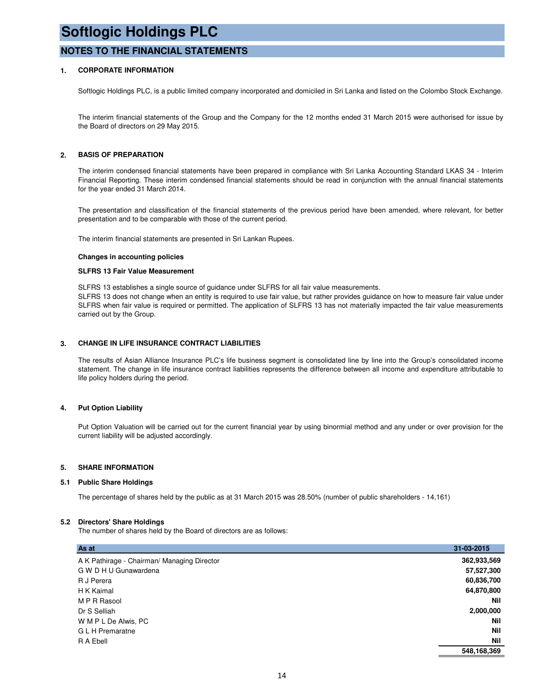### **NOTES TO THE FINANCIAL STATEMENTS**

### **1. CORPORATE INFORMATION**

Softlogic Holdings PLC, is a public limited company incorporated and domiciled in Sri Lanka and listed on the Colombo Stock Exchange.

The interim financial statements of the Group and the Company for the 12 months ended 31 March 2015 were authorised for issue by the Board of directors on 29 May 2015.

### **2. BASIS OF PREPARATION**

The interim condensed financial statements have been prepared in compliance with Sri Lanka Accounting Standard LKAS 34 - Interim Financial Reporting. These interim condensed financial statements should be read in conjunction with the annual financial statements for the year ended 31 March 2014.

The presentation and classification of the financial statements of the previous period have been amended, where relevant, for better presentation and to be comparable with those of the current period.

The interim financial statements are presented in Sri Lankan Rupees.

#### **Changes in accounting policies**

#### **SLFRS 13 Fair Value Measurement**

SLFRS 13 establishes a single source of guidance under SLFRS for all fair value measurements. SLFRS 13 does not change when an entity is required to use fair value, but rather provides guidance on how to measure fair value under SLFRS when fair value is required or permitted. The application of SLFRS 13 has not materially impacted the fair value measurements carried out by the Group.

### **3. CHANGE IN LIFE INSURANCE CONTRACT LIABILITIES**

The results of Asian Alliance Insurance PLC's life business segment is consolidated line by line into the Group's consolidated income statement. The change in life insurance contract liabilities represents the difference between all income and expenditure attributable to life policy holders during the period.

### **4. Put Option Liability**

Put Option Valuation will be carried out for the current financial year by using binormial method and any under or over provision for the current liability will be adjusted accordingly.

### **5. SHARE INFORMATION**

### **5.1 Public Share Holdings**

The percentage of shares held by the public as at 31 March 2015 was 28.50% (number of public shareholders - 14,161)

### **5.2 Directors' Share Holdings**

The number of shares held by the Board of directors are as follows:

| As at                                       | 31-03-2015  |
|---------------------------------------------|-------------|
| A K Pathirage - Chairman/ Managing Director | 362,933,569 |
| G W D H U Gunawardena                       | 57,527,300  |
| R J Perera                                  | 60,836,700  |
| H K Kaimal                                  | 64,870,800  |
| M P R Rasool                                | Nil         |
| Dr S Selliah                                | 2,000,000   |
| W M P L De Alwis, PC                        | Nil         |
| G L H Premaratne                            | <b>Nil</b>  |
| R A Ebell                                   | <b>Nil</b>  |
|                                             | 548,168,369 |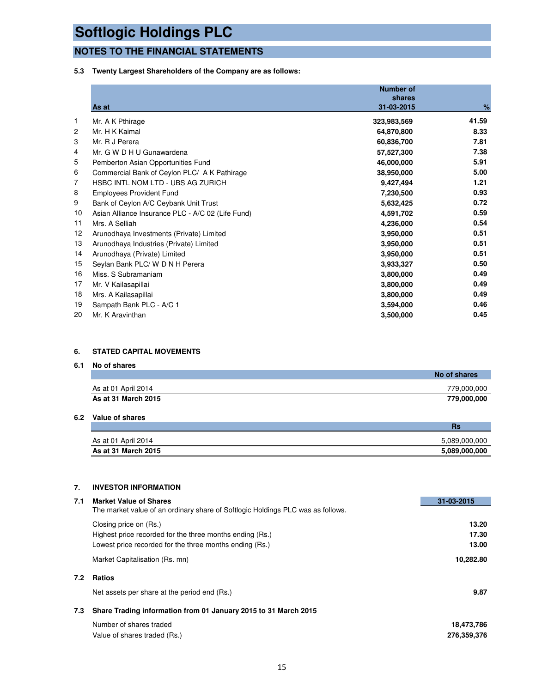### **NOTES TO THE FINANCIAL STATEMENTS**

### **5.3 Twenty Largest Shareholders of the Company are as follows:**

|    | As at                                             | <b>Number of</b><br>shares<br>31-03-2015 | %     |
|----|---------------------------------------------------|------------------------------------------|-------|
| 1  | Mr. A K Pthirage                                  | 323,983,569                              | 41.59 |
| 2  | Mr. H K Kaimal                                    | 64,870,800                               | 8.33  |
| 3  | Mr. R J Perera                                    | 60,836,700                               | 7.81  |
| 4  | Mr. G W D H U Gunawardena                         | 57,527,300                               | 7.38  |
| 5  | Pemberton Asian Opportunities Fund                | 46,000,000                               | 5.91  |
| 6  | Commercial Bank of Ceylon PLC/ A K Pathirage      | 38,950,000                               | 5.00  |
| 7  | HSBC INTL NOM LTD - UBS AG ZURICH                 | 9,427,494                                | 1.21  |
| 8  | <b>Employees Provident Fund</b>                   | 7,230,500                                | 0.93  |
| 9  | Bank of Ceylon A/C Ceybank Unit Trust             | 5,632,425                                | 0.72  |
| 10 | Asian Alliance Insurance PLC - A/C 02 (Life Fund) | 4,591,702                                | 0.59  |
| 11 | Mrs. A Selliah                                    | 4,236,000                                | 0.54  |
| 12 | Arunodhaya Investments (Private) Limited          | 3,950,000                                | 0.51  |
| 13 | Arunodhaya Industries (Private) Limited           | 3,950,000                                | 0.51  |
| 14 | Arunodhaya (Private) Limited                      | 3,950,000                                | 0.51  |
| 15 | Seylan Bank PLC/ W D N H Perera                   | 3,933,327                                | 0.50  |
| 16 | Miss. S Subramaniam                               | 3,800,000                                | 0.49  |
| 17 | Mr. V Kailasapillai                               | 3,800,000                                | 0.49  |
| 18 | Mrs. A Kailasapillai                              | 3,800,000                                | 0.49  |
| 19 | Sampath Bank PLC - A/C 1                          | 3,594,000                                | 0.46  |
| 20 | Mr. K Aravinthan                                  | 3,500,000                                | 0.45  |

### **6. STATED CAPITAL MOVEMENTS**

### **6.1 No of shares**

|                     | No of shares |
|---------------------|--------------|
| As at 01 April 2014 | 779,000,000  |
| As at 31 March 2015 | 779,000,000  |

### **6.2 Value of shares**

|                     | ns            |
|---------------------|---------------|
| As at 01 April 2014 | 5.089.000.000 |
| As at 31 March 2015 | 5,089,000,000 |

### **7. INVESTOR INFORMATION**

| 7.1 | <b>Market Value of Shares</b>                                                   | 31-03-2015  |
|-----|---------------------------------------------------------------------------------|-------------|
|     | The market value of an ordinary share of Softlogic Holdings PLC was as follows. |             |
|     | Closing price on (Rs.)                                                          | 13.20       |
|     | Highest price recorded for the three months ending (Rs.)                        | 17.30       |
|     | Lowest price recorded for the three months ending (Rs.)                         | 13.00       |
|     | Market Capitalisation (Rs. mn)                                                  | 10,282.80   |
| 7.2 | <b>Ratios</b>                                                                   |             |
|     | Net assets per share at the period end (Rs.)                                    | 9.87        |
| 7.3 | Share Trading information from 01 January 2015 to 31 March 2015                 |             |
|     | Number of shares traded                                                         | 18,473,786  |
|     | Value of shares traded (Rs.)                                                    | 276,359,376 |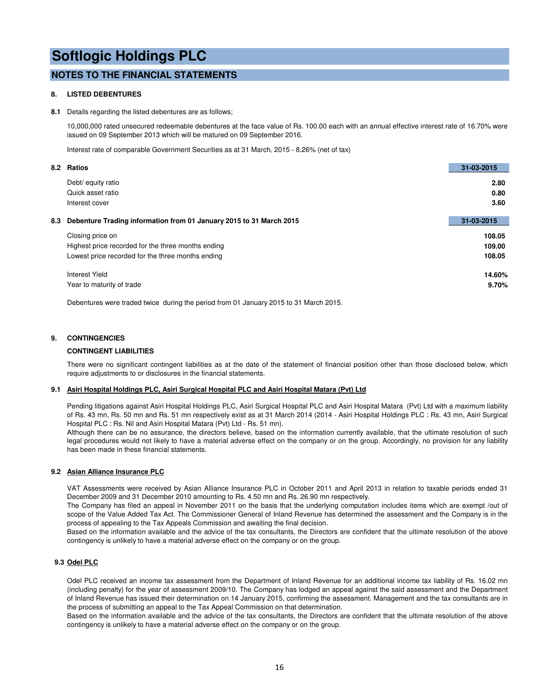### **NOTES TO THE FINANCIAL STATEMENTS**

### **8. LISTED DEBENTURES**

#### **8.1** Details regarding the listed debentures are as follows;

10,000,000 rated unsecured redeemable debentures at the face value of Rs. 100.00 each with an annual effective interest rate of 16.70% were issued on 09 September 2013 which will be matured on 09 September 2016.

Interest rate of comparable Government Securities as at 31 March, 2015 - 8.26% (net of tax)

|     | 8.2 Ratios                                                          | 31-03-2015 |
|-----|---------------------------------------------------------------------|------------|
|     | Debt/ equity ratio                                                  | 2.80       |
|     | Quick asset ratio                                                   | 0.80       |
|     | Interest cover                                                      | 3.60       |
|     |                                                                     |            |
| 8.3 | Debenture Trading information from 01 January 2015 to 31 March 2015 | 31-03-2015 |
|     | Closing price on                                                    | 108.05     |
|     | Highest price recorded for the three months ending                  | 109.00     |
|     | Lowest price recorded for the three months ending                   | 108.05     |
|     | Interest Yield                                                      | 14.60%     |
|     | Year to maturity of trade                                           | 9.70%      |
|     |                                                                     |            |

Debentures were traded twice during the period from 01 January 2015 to 31 March 2015.

### **9. CONTINGENCIES**

### **CONTINGENT LIABILITIES**

There were no significant contingent liabilities as at the date of the statement of financial position other than those disclosed below, which require adjustments to or disclosures in the financial statements.

### **9.1 Asiri Hospital Holdings PLC, Asiri Surgical Hospital PLC and Asiri Hospital Matara (Pvt) Ltd**

Pending litigations against Asiri Hospital Holdings PLC, Asiri Surgical Hospital PLC and Asiri Hospital Matara (Pvt) Ltd with a maximum liability of Rs. 43 mn, Rs. 50 mn and Rs. 51 mn respectively exist as at 31 March 2014 (2014 - Asiri Hospital Holdings PLC : Rs. 43 mn, Asiri Surgical Hospital PLC : Rs. Nil and Asiri Hospital Matara (Pvt) Ltd - Rs. 51 mn).

Although there can be no assurance, the directors believe, based on the information currently available, that the ultimate resolution of such legal procedures would not likely to have a material adverse effect on the company or on the group. Accordingly, no provision for any liability has been made in these financial statements.

### **9.2 Asian Alliance Insurance PLC**

VAT Assessments were received by Asian Alliance Insurance PLC in October 2011 and April 2013 in relation to taxable periods ended 31 December 2009 and 31 December 2010 amounting to Rs. 4.50 mn and Rs. 26.90 mn respectively.

The Company has filed an appeal in November 2011 on the basis that the underlying computation includes items which are exempt /out of scope of the Value Added Tax Act. The Commissioner General of Inland Revenue has determined the assessment and the Company is in the process of appealing to the Tax Appeals Commission and awaiting the final decision.

Based on the information available and the advice of the tax consultants, the Directors are confident that the ultimate resolution of the above contingency is unlikely to have a material adverse effect on the company or on the group.

### **9.3 Odel PLC**

Odel PLC received an income tax assessment from the Department of Inland Revenue for an additional income tax liability of Rs. 16.02 mn (including penalty) for the year of assessment 2009/10. The Company has lodged an appeal against the said assessment and the Department of Inland Revenue has issued their determination on 14 January 2015, confirming the assessment. Management and the tax consultants are in the process of submitting an appeal to the Tax Appeal Commission on that determination.

Based on the information available and the advice of the tax consultants, the Directors are confident that the ultimate resolution of the above contingency is unlikely to have a material adverse effect on the company or on the group.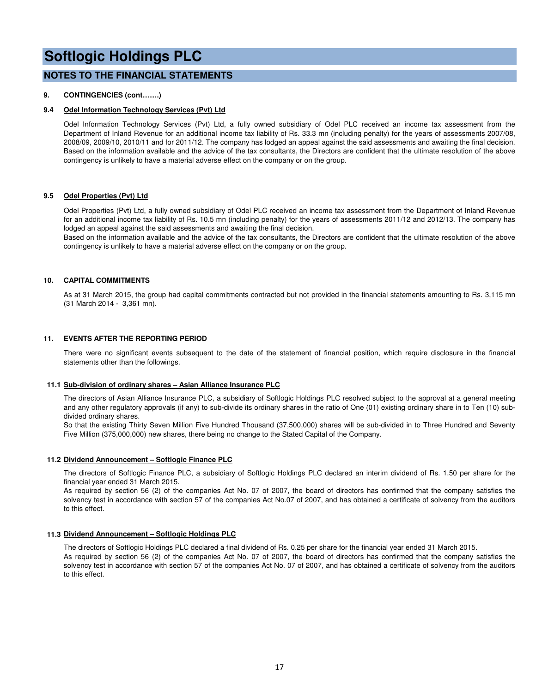### **NOTES TO THE FINANCIAL STATEMENTS**

### **9. CONTINGENCIES (cont…….)**

### **9.4 Odel Information Technology Services (Pvt) Ltd**

Odel Information Technology Services (Pvt) Ltd, a fully owned subsidiary of Odel PLC received an income tax assessment from the Department of Inland Revenue for an additional income tax liability of Rs. 33.3 mn (including penalty) for the years of assessments 2007/08, 2008/09, 2009/10, 2010/11 and for 2011/12. The company has lodged an appeal against the said assessments and awaiting the final decision. Based on the information available and the advice of the tax consultants, the Directors are confident that the ultimate resolution of the above contingency is unlikely to have a material adverse effect on the company or on the group.

### **9.5 Odel Properties (Pvt) Ltd**

Odel Properties (Pvt) Ltd, a fully owned subsidiary of Odel PLC received an income tax assessment from the Department of Inland Revenue for an additional income tax liability of Rs. 10.5 mn (including penalty) for the years of assessments 2011/12 and 2012/13. The company has lodged an appeal against the said assessments and awaiting the final decision.

Based on the information available and the advice of the tax consultants, the Directors are confident that the ultimate resolution of the above contingency is unlikely to have a material adverse effect on the company or on the group.

### **10. CAPITAL COMMITMENTS**

As at 31 March 2015, the group had capital commitments contracted but not provided in the financial statements amounting to Rs. 3,115 mn (31 March 2014 - 3,361 mn).

### **11. EVENTS AFTER THE REPORTING PERIOD**

There were no significant events subsequent to the date of the statement of financial position, which require disclosure in the financial statements other than the followings.

### **11.1 Sub-division of ordinary shares – Asian Alliance Insurance PLC**

The directors of Asian Alliance Insurance PLC, a subsidiary of Softlogic Holdings PLC resolved subject to the approval at a general meeting and any other regulatory approvals (if any) to sub-divide its ordinary shares in the ratio of One (01) existing ordinary share in to Ten (10) subdivided ordinary shares.

So that the existing Thirty Seven Million Five Hundred Thousand (37,500,000) shares will be sub-divided in to Three Hundred and Seventy Five Million (375,000,000) new shares, there being no change to the Stated Capital of the Company.

### **11.2 Dividend Announcement – Softlogic Finance PLC**

The directors of Softlogic Finance PLC, a subsidiary of Softlogic Holdings PLC declared an interim dividend of Rs. 1.50 per share for the financial year ended 31 March 2015.

As required by section 56 (2) of the companies Act No. 07 of 2007, the board of directors has confirmed that the company satisfies the solvency test in accordance with section 57 of the companies Act No.07 of 2007, and has obtained a certificate of solvency from the auditors to this effect.

### **11.3 Dividend Announcement – Softlogic Holdings PLC**

The directors of Softlogic Holdings PLC declared a final dividend of Rs. 0.25 per share for the financial year ended 31 March 2015. As required by section 56 (2) of the companies Act No. 07 of 2007, the board of directors has confirmed that the company satisfies the solvency test in accordance with section 57 of the companies Act No. 07 of 2007, and has obtained a certificate of solvency from the auditors to this effect.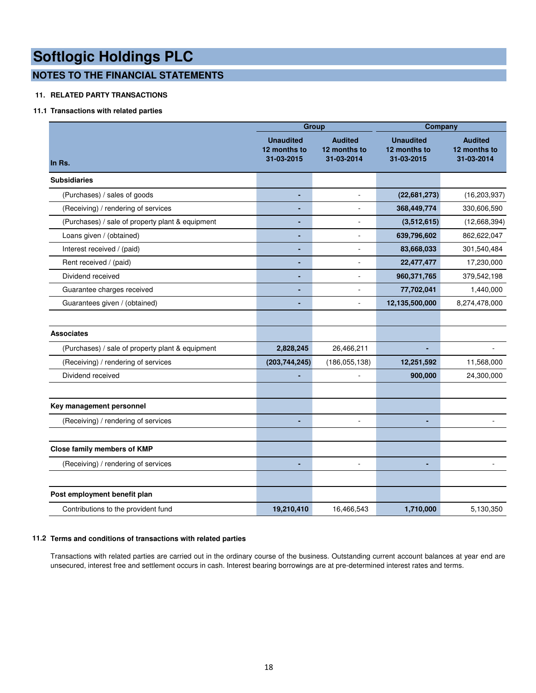### **NOTES TO THE FINANCIAL STATEMENTS**

### **11. RELATED PARTY TRANSACTIONS**

### **11.1 Transactions with related parties**

|                                                  |                                                | Group                                        | Company                                        |                                              |  |  |
|--------------------------------------------------|------------------------------------------------|----------------------------------------------|------------------------------------------------|----------------------------------------------|--|--|
| In Rs.                                           | <b>Unaudited</b><br>12 months to<br>31-03-2015 | <b>Audited</b><br>12 months to<br>31-03-2014 | <b>Unaudited</b><br>12 months to<br>31-03-2015 | <b>Audited</b><br>12 months to<br>31-03-2014 |  |  |
| <b>Subsidiaries</b>                              |                                                |                                              |                                                |                                              |  |  |
| (Purchases) / sales of goods                     | $\blacksquare$                                 | L.                                           | (22, 681, 273)                                 | (16, 203, 937)                               |  |  |
| (Receiving) / rendering of services              | $\blacksquare$                                 | L.                                           | 368,449,774                                    | 330,606,590                                  |  |  |
| (Purchases) / sale of property plant & equipment |                                                | ٠                                            | (3,512,615)                                    | (12,668,394)                                 |  |  |
| Loans given / (obtained)                         |                                                |                                              | 639,796,602                                    | 862,622,047                                  |  |  |
| Interest received / (paid)                       | ٠                                              | ÷                                            | 83,668,033                                     | 301,540,484                                  |  |  |
| Rent received / (paid)                           | ä,                                             | L,                                           | 22,477,477                                     | 17,230,000                                   |  |  |
| Dividend received                                | $\blacksquare$                                 | ÷                                            | 960,371,765                                    | 379,542,198                                  |  |  |
| Guarantee charges received                       | $\blacksquare$                                 |                                              | 77,702,041                                     | 1,440,000                                    |  |  |
| Guarantees given / (obtained)                    | $\blacksquare$                                 | ÷,                                           | 12,135,500,000                                 | 8,274,478,000                                |  |  |
|                                                  |                                                |                                              |                                                |                                              |  |  |
| <b>Associates</b>                                |                                                |                                              |                                                |                                              |  |  |
| (Purchases) / sale of property plant & equipment | 2,828,245                                      | 26,466,211                                   |                                                |                                              |  |  |
| (Receiving) / rendering of services              | (203, 744, 245)                                | (186, 055, 138)                              | 12,251,592                                     | 11,568,000                                   |  |  |
| Dividend received                                | ä,                                             |                                              | 900,000                                        | 24,300,000                                   |  |  |
|                                                  |                                                |                                              |                                                |                                              |  |  |
| Key management personnel                         |                                                |                                              |                                                |                                              |  |  |
| (Receiving) / rendering of services              |                                                |                                              | $\blacksquare$                                 |                                              |  |  |
|                                                  |                                                |                                              |                                                |                                              |  |  |
| Close family members of KMP                      |                                                |                                              |                                                |                                              |  |  |
| (Receiving) / rendering of services              |                                                |                                              |                                                |                                              |  |  |
|                                                  |                                                |                                              |                                                |                                              |  |  |
| Post employment benefit plan                     |                                                |                                              |                                                |                                              |  |  |
| Contributions to the provident fund              | 19,210,410                                     | 16,466,543                                   | 1,710,000                                      | 5,130,350                                    |  |  |

### **11.2 Terms and conditions of transactions with related parties**

Transactions with related parties are carried out in the ordinary course of the business. Outstanding current account balances at year end are unsecured, interest free and settlement occurs in cash. Interest bearing borrowings are at pre-determined interest rates and terms.